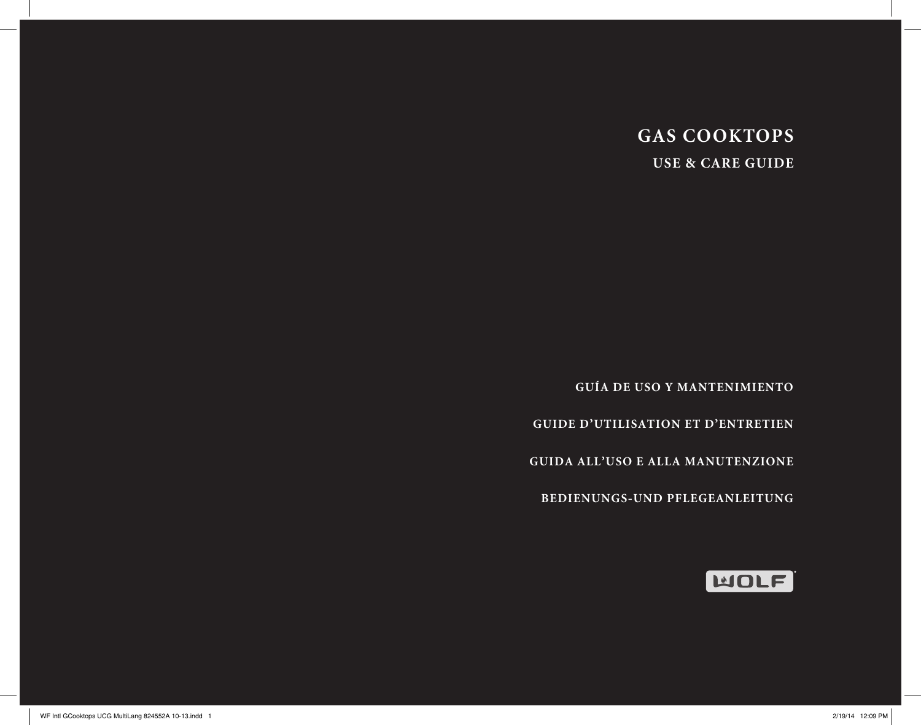# **GAS COOKTOPS USE & CARE GUIDE**

**GUÍA DE USO Y MANTENIMIENTO**

**GUIDE D'UTILISATION ET D'ENTRETIEN**

**GUIDA ALL'USO E ALLA MANUTENZIONE**

**BEDIENUNGS-UND PFLEGEANLEITUNG**

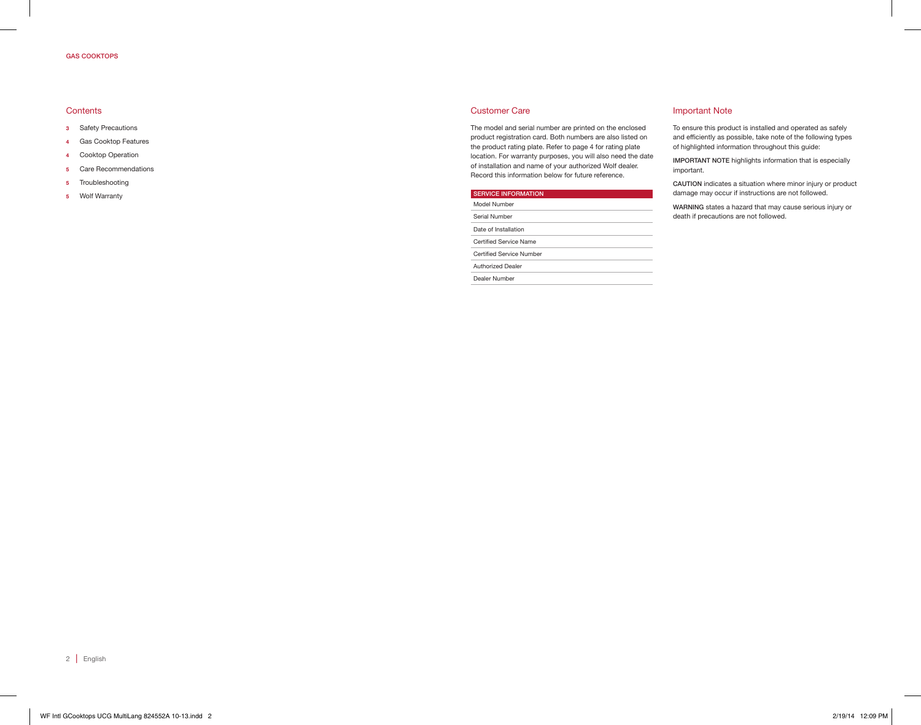#### GAS COOKTOPS

#### **Contents**

- 3 Safety Precautions
- 4 Gas Cooktop Features
- 4 Cooktop Operation
- 5 Care Recommendations
- 5 Troubleshooting
- 5 Wolf Warranty

#### Customer Care

The model and serial number are printed on the enclosed product registration card. Both numbers are also listed on the product rating plate. Refer to page 4 for rating plate location. For warranty purposes, you will also need the date of installation and name of your authorized Wolf dealer. Record this information below for future reference.

| <b>SERVICE INFORMATION</b> |
|----------------------------|
| Model Number               |
| Serial Number              |
| Date of Installation       |
| Certified Service Name     |
| Certified Service Number   |
| <b>Authorized Dealer</b>   |
| Dealer Number              |
|                            |

#### Important Note

To ensure this product is installed and operated as safely and efficiently as possible, take note of the following types of highlighted information throughout this guide:

IMPORTANT NOTE highlights information that is especially important.

CAUTION indicates a situation where minor injury or product damage may occur if instructions are not followed.

WARNING states a hazard that may cause serious injury or death if precautions are not followed.

2 | English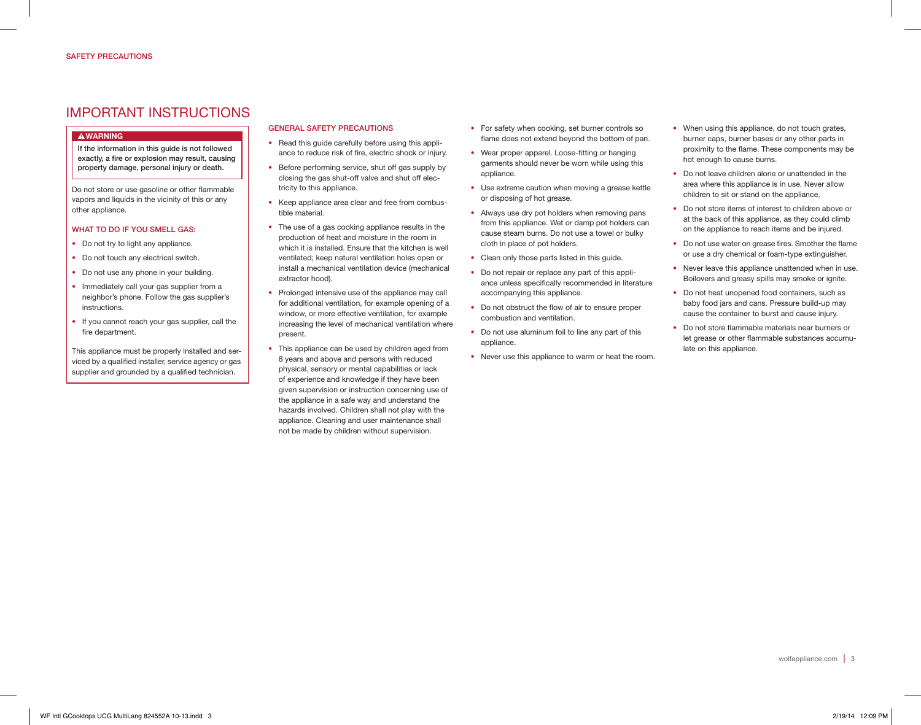## IMPORTANT INSTRUCTIONS

#### **AWARNING**

If the information in this guide is not followed exactly, a fire or explosion may result, causing property damage, personal injury or death.

Do not store or use gasoline or other flammable vapors and liquids in the vicinity of this or any other appliance.

#### WHAT TO DO IF YOU SMELL GAS:

- Do not try to light any appliance.
- Do not touch any electrical switch.
- Do not use any phone in your building.
- Immediately call your gas supplier from a neighbor's phone. Follow the gas supplier's instructions.
- If you cannot reach your gas supplier, call the fire department.

This appliance must be properly installed and serviced by a qualified installer, service agency or gas supplier and grounded by a qualified technician.

#### GENERAL SAFETY PRECAUTIONS

- Read this guide carefully before using this appliance to reduce risk of fire, electric shock or injury.
- Before performing service, shut off gas supply by closing the gas shut-off valve and shut off electricity to this appliance.
- Keep appliance area clear and free from combustible material.
- The use of a gas cooking appliance results in the production of heat and moisture in the room in which it is installed. Ensure that the kitchen is well ventilated; keep natural ventilation holes open or install a mechanical ventilation device (mechanical extractor hood).
- Prolonged intensive use of the appliance may call for additional ventilation, for example opening of a window, or more effective ventilation, for example increasing the level of mechanical ventilation where present.
- This appliance can be used by children aged from 8 years and above and persons with reduced physical, sensory or mental capabilities or lack of experience and knowledge if they have been given supervision or instruction concerning use of the appliance in a safe way and understand the hazards involved. Children shall not play with the appliance. Cleaning and user maintenance shall not be made by children without supervision.
- For safety when cooking, set burner controls so flame does not extend beyond the bottom of pan.
- Wear proper apparel. Loose-fitting or hanging garments should never be worn while using this appliance.
- Use extreme caution when moving a grease kettle or disposing of hot grease.
- Always use dry pot holders when removing pans from this appliance. Wet or damp pot holders can cause steam burns. Do not use a towel or bulky cloth in place of pot holders.
- Clean only those parts listed in this guide.
- Do not repair or replace any part of this appliance unless specifically recommended in literature accompanying this appliance.
- Do not obstruct the flow of air to ensure proper combustion and ventilation.
- Do not use aluminum foil to line any part of this appliance.
- Never use this appliance to warm or heat the room.
- When using this appliance, do not touch grates, burner caps, burner bases or any other parts in proximity to the flame. These components may be hot enough to cause burns.
- Do not leave children alone or unattended in the area where this appliance is in use. Never allow children to sit or stand on the appliance.
- Do not store items of interest to children above or at the back of this appliance, as they could climb on the appliance to reach items and be injured.
- Do not use water on grease fires. Smother the flame or use a dry chemical or foam-type extinguisher.
- Never leave this appliance unattended when in use. Boilovers and greasy spills may smoke or ignite.
- Do not heat unopened food containers, such as baby food jars and cans. Pressure build-up may cause the container to burst and cause injury.
- Do not store flammable materials near burners or let grease or other flammable substances accumulate on this appliance.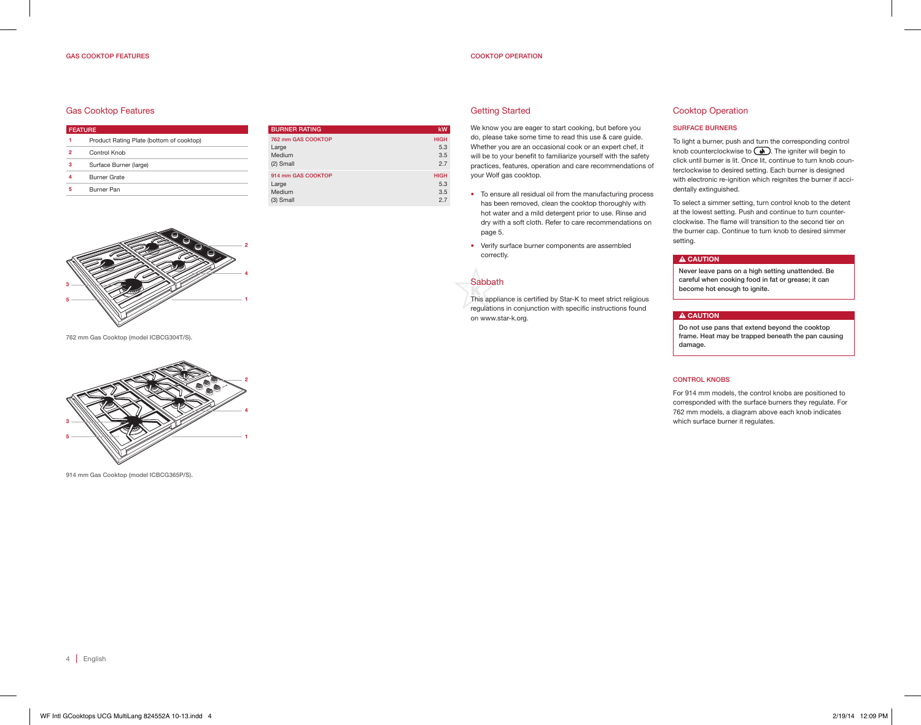#### GAS COOKTOP FEATURES

#### COOKTOP OPERATION

#### Gas Cooktop Features

| <b>FEATURE</b> |                                          |  |
|----------------|------------------------------------------|--|
|                | Product Rating Plate (bottom of cooktop) |  |
| 2              | Control Knob                             |  |
| з              | Surface Burner (large)                   |  |
| 4              | <b>Burner Grate</b>                      |  |
| 5              | <b>Burner Pan</b>                        |  |

| kW                               |
|----------------------------------|
| <b>HIGH</b><br>5.3<br>3.5<br>2.7 |
| <b>HIGH</b><br>5.3<br>3.5<br>2.7 |
|                                  |

#### Getting Started

We know you are eager to start cooking, but before you do, please take some time to read this use & care guide. Whether you are an occasional cook or an expert chef, it will be to your benefit to familiarize yourself with the safety practices, features, operation and care recommendations of your Wolf gas cooktop.

- To ensure all residual oil from the manufacturing process has been removed, clean the cooktop thoroughly with hot water and a mild detergent prior to use. Rinse and dry with a soft cloth. Refer to care recommendations on page 5.
- Verify surface burner components are assembled correctly.

## **Sabbath**

This appliance is certified by Star-K to meet strict religious regulations in conjunction with specific instructions found on www.star-k.org.

#### Cooktop Operation

#### SURFACE BURNERS

To light a burner, push and turn the corresponding control knob counterclockwise to  $\circledast$ . The igniter will begin to click until burner is lit. Once lit, continue to turn knob counterclockwise to desired setting. Each burner is designed with electronic re-ignition which reignites the burner if accidentally extinguished.

To select a simmer setting, turn control knob to the detent at the lowest setting. Push and continue to turn counterclockwise. The flame will transition to the second tier on the burner cap. Continue to turn knob to desired simmer setting.

#### **A CAUTION**

Never leave pans on a high setting unattended. Be careful when cooking food in fat or grease; it can become hot enough to ignite.

#### A CAUTION

Do not use pans that extend beyond the cooktop frame. Heat may be trapped beneath the pan causing damage.

#### CONTROL KNOBS

For 914 mm models, the control knobs are positioned to corresponded with the surface burners they regulate. For 762 mm models, a diagram above each knob indicates which surface burner it regulates.



762 mm Gas Cooktop (model ICBCG304T/S).



914 mm Gas Cooktop (model ICBCG365P/S).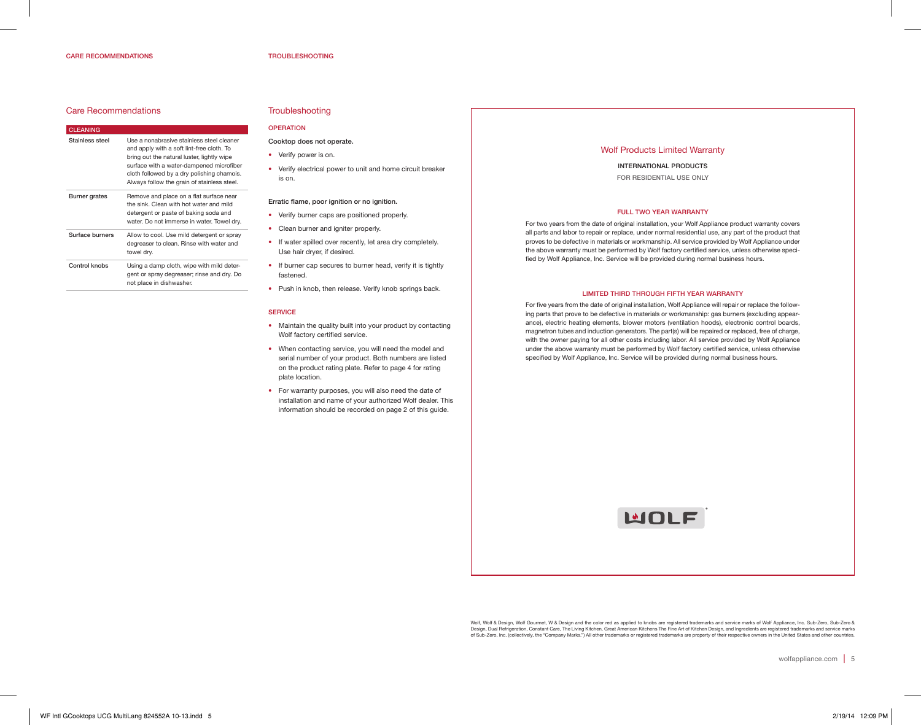#### CARE RECOMMENDATIONS

#### Care Recommendations

| <b>CLEANING</b>      |                                                                                                                                                                                                                                                                               |
|----------------------|-------------------------------------------------------------------------------------------------------------------------------------------------------------------------------------------------------------------------------------------------------------------------------|
| Stainless steel      | Use a nonabrasive stainless steel cleaner<br>and apply with a soft lint-free cloth. To<br>bring out the natural luster, lightly wipe<br>surface with a water-dampened microfiber<br>cloth followed by a dry polishing chamois.<br>Always follow the grain of stainless steel. |
| <b>Burner</b> grates | Remove and place on a flat surface near<br>the sink. Clean with hot water and mild<br>detergent or paste of baking soda and<br>water. Do not immerse in water. Towel dry.                                                                                                     |
| Surface burners      | Allow to cool. Use mild detergent or spray<br>degreaser to clean. Rinse with water and<br>towel dry.                                                                                                                                                                          |
| Control knobs        | Using a damp cloth, wipe with mild deter-<br>gent or spray degreaser; rinse and dry. Do<br>not place in dishwasher.                                                                                                                                                           |

## **Troubleshooting**

## OPERATION

Cooktop does not operate.

- Verify power is on.
- Verify electrical power to unit and home circuit breaker is on.

#### Erratic flame, poor ignition or no ignition.

- Verify burner caps are positioned properly.
- Clean burner and igniter properly.
- If water spilled over recently, let area dry completely. Use hair dryer, if desired.
- If burner cap secures to burner head, verify it is tightly fastened.
- Push in knob, then release. Verify knob springs back.

#### **SERVICE**

- Maintain the quality built into your product by contacting Wolf factory certified service.
- When contacting service, you will need the model and serial number of your product. Both numbers are listed on the product rating plate. Refer to page 4 for rating plate location.
- For warranty purposes, you will also need the date of installation and name of your authorized Wolf dealer. This information should be recorded on page 2 of this guide.

#### Wolf Products Limited Warranty

INTERNATIONAL PRODUCTS FOR RESIDENTIAL USE ONLY

#### FULL TWO YEAR WARRANTY

For two years from the date of original installation, your Wolf Appliance product warranty covers all parts and labor to repair or replace, under normal residential use, any part of the product that proves to be defective in materials or workmanship. All service provided by Wolf Appliance under the above warranty must be performed by Wolf factory certified service, unless otherwise specified by Wolf Appliance, Inc. Service will be provided during normal business hours.

#### LIMITED THIRD THROUGH FIFTH YEAR WARRANTY

For five years from the date of original installation, Wolf Appliance will repair or replace the following parts that prove to be defective in materials or workmanship: gas burners (excluding appearance), electric heating elements, blower motors (ventilation hoods), electronic control boards, magnetron tubes and induction generators. The part(s) will be repaired or replaced, free of charge, with the owner paying for all other costs including labor. All service provided by Wolf Appliance under the above warranty must be performed by Wolf factory certified service, unless otherwise specified by Wolf Appliance, Inc. Service will be provided during normal business hours.



Wolf, Wolf & Design, Wolf Gourmet, W & Design and the color red as applied to knobs are registered trademarks and service marks of Wolf Appliance, Inc. Sub-Zero, Sub-Zero &<br>Design, Dual Refrigeration, Constant Care, The Li of Sub-Zero, Inc. (collectively, the "Company Marks.") All other trademarks or registered trademarks are property of their respective owners in the United States and other countries.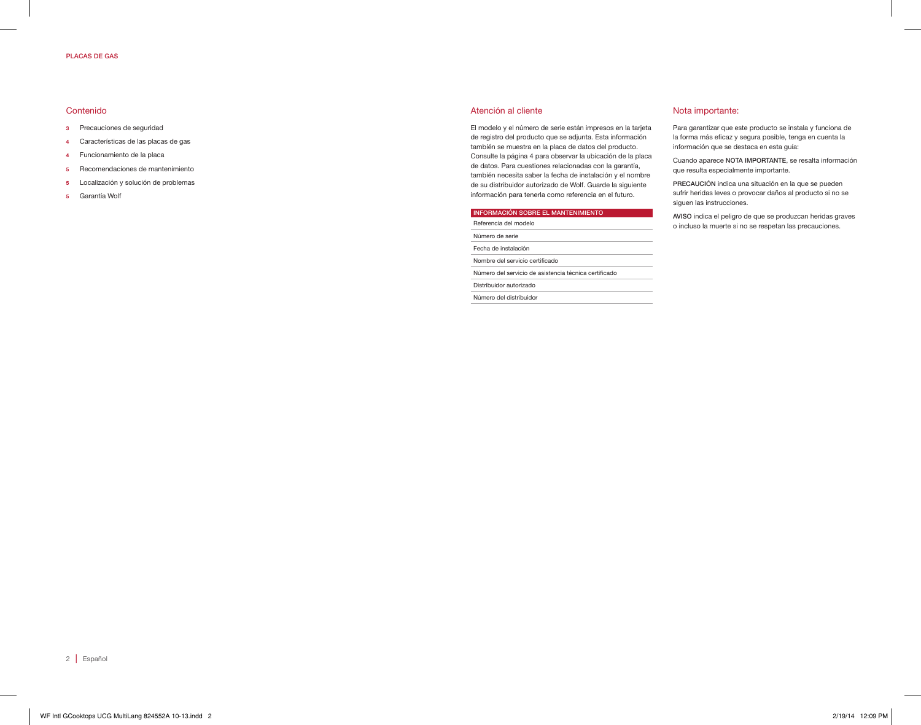#### PLACAS DE GAS

#### Contenido

- 3 Precauciones de seguridad
- 4 Características de las placas de gas
- 4 Funcionamiento de la placa
- 5 Recomendaciones de mantenimiento
- 5 Localización y solución de problemas
- 5 Garantía Wolf

#### Atención al cliente

El modelo y el número de serie están impresos en la tarjeta de registro del producto que se adjunta. Esta información también se muestra en la placa de datos del producto. Consulte la página 4 para observar la ubicación de la placa de datos. Para cuestiones relacionadas con la garantía, también necesita saber la fecha de instalación y el nombre de su distribuidor autorizado de Wolf. Guarde la siguiente información para tenerla como referencia en el futuro.

## INFORMACIÓN SOBRE EL MANTENIMIENTO

| Referencia del modelo                                 |  |
|-------------------------------------------------------|--|
| Número de serie                                       |  |
| Fecha de instalación                                  |  |
| Nombre del servicio certificado                       |  |
| Número del servicio de asistencia técnica certificado |  |
| Distribuidor autorizado                               |  |
| Número del distribuidor                               |  |
|                                                       |  |

#### Nota importante:

Para garantizar que este producto se instala y funciona de la forma más eficaz y segura posible, tenga en cuenta la información que se destaca en esta guía:

Cuando aparece NOTA IMPORTANTE, se resalta información que resulta especialmente importante.

PRECAUCIÓN indica una situación en la que se pueden sufrir heridas leves o provocar daños al producto si no se siguen las instrucciones.

AVISO indica el peligro de que se produzcan heridas graves o incluso la muerte si no se respetan las precauciones.

2 | Español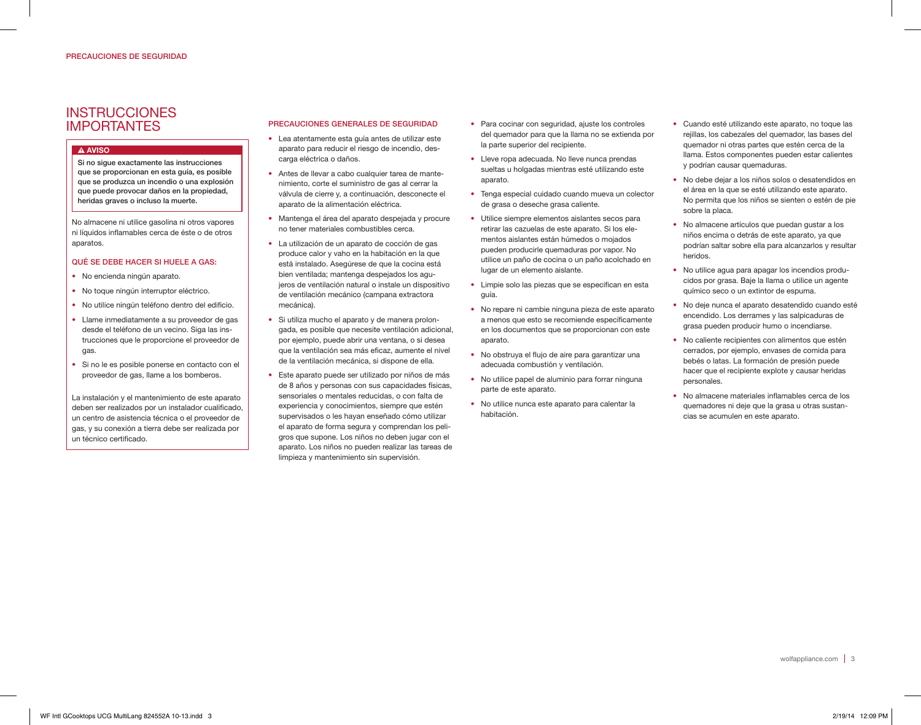## **INSTRUCCIONES** IMPORTANTES

## **A AVISO**

Si no sigue exactamente las instrucciones que se proporcionan en esta guía, es posible que se produzca un incendio o una explosión que puede provocar daños en la propiedad, heridas graves o incluso la muerte.

No almacene ni utilice gasolina ni otros vapores ni líquidos inflamables cerca de éste o de otros aparatos.

## QUÉ SE DEBE HACER SI HUELE A GAS:

- No encienda ningún aparato.
- No toque ningún interruptor eléctrico.
- No utilice ningún teléfono dentro del edificio.
- Llame inmediatamente a su proveedor de gas desde el teléfono de un vecino. Siga las instrucciones que le proporcione el proveedor de gas.
- Si no le es posible ponerse en contacto con el proveedor de gas, llame a los bomberos.

La instalación y el mantenimiento de este aparato deben ser realizados por un instalador cualificado, un centro de asistencia técnica o el proveedor de gas, y su conexión a tierra debe ser realizada por un técnico certificado.

## PRECAUCIONES GENERALES DE SEGURIDAD

- Lea atentamente esta guía antes de utilizar este aparato para reducir el riesgo de incendio, descarga eléctrica o daños.
- Antes de llevar a cabo cualquier tarea de mantenimiento, corte el suministro de gas al cerrar la válvula de cierre y, a continuación, desconecte el aparato de la alimentación eléctrica.
- Mantenga el área del aparato despejada y procure no tener materiales combustibles cerca.
- La utilización de un aparato de cocción de gas produce calor y vaho en la habitación en la que está instalado. Asegúrese de que la cocina está bien ventilada; mantenga despejados los agujeros de ventilación natural o instale un dispositivo de ventilación mecánico (campana extractora mecánica).
- Si utiliza mucho el aparato y de manera prolongada, es posible que necesite ventilación adicional, por ejemplo, puede abrir una ventana, o si desea que la ventilación sea más eficaz, aumente el nivel de la ventilación mecánica, si dispone de ella.
- Este aparato puede ser utilizado por niños de más de 8 años y personas con sus capacidades físicas, sensoriales o mentales reducidas, o con falta de experiencia y conocimientos, siempre que estén supervisados o les hayan enseñado cómo utilizar el aparato de forma segura y comprendan los peligros que supone. Los niños no deben jugar con el aparato. Los niños no pueden realizar las tareas de limpieza y mantenimiento sin supervisión.
- Para cocinar con seguridad, ajuste los controles del quemador para que la llama no se extienda por la parte superior del recipiente.
- Lleve ropa adecuada. No lleve nunca prendas sueltas u holgadas mientras esté utilizando este aparato.
- Tenga especial cuidado cuando mueva un colector de grasa o deseche grasa caliente.
- Utilice siempre elementos aislantes secos para retirar las cazuelas de este aparato. Si los elementos aislantes están húmedos o mojados pueden producirle quemaduras por vapor. No utilice un paño de cocina o un paño acolchado en lugar de un elemento aislante.
- Limpie solo las piezas que se especifican en esta guía.
- No repare ni cambie ninguna pieza de este aparato a menos que esto se recomiende específicamente en los documentos que se proporcionan con este aparato.
- No obstruya el flujo de aire para garantizar una adecuada combustión y ventilación.
- No utilice papel de aluminio para forrar ninguna parte de este aparato.
- No utilice nunca este aparato para calentar la habitación.
- Cuando esté utilizando este aparato, no toque las rejillas, los cabezales del quemador, las bases del quemador ni otras partes que estén cerca de la llama. Estos componentes pueden estar calientes y podrían causar quemaduras.
- No debe dejar a los niños solos o desatendidos en el área en la que se esté utilizando este aparato. No permita que los niños se sienten o estén de pie sobre la placa.
- No almacene artículos que puedan gustar a los niños encima o detrás de este aparato, ya que podrían saltar sobre ella para alcanzarlos y resultar heridos.
- No utilice agua para apagar los incendios producidos por grasa. Baje la llama o utilice un agente químico seco o un extintor de espuma.
- No deje nunca el aparato desatendido cuando esté encendido. Los derrames y las salpicaduras de grasa pueden producir humo o incendiarse.
- No caliente recipientes con alimentos que estén cerrados, por ejemplo, envases de comida para bebés o latas. La formación de presión puede hacer que el recipiente explote y causar heridas personales.
- No almacene materiales inflamables cerca de los quemadores ni deje que la grasa u otras sustancias se acumulen en este aparato.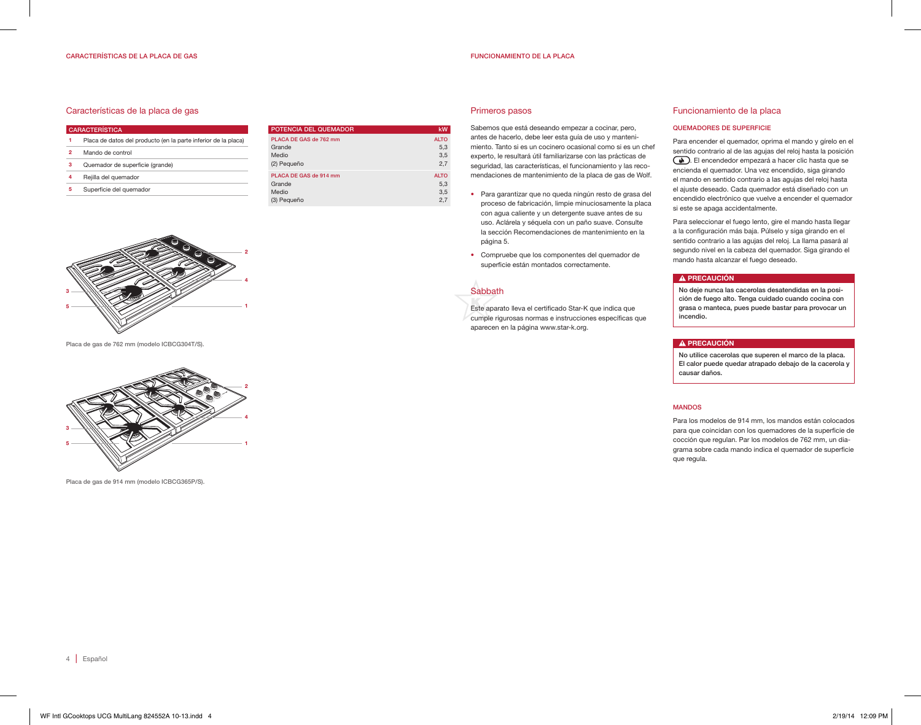#### FUNCIONAMIENTO DE LA PLACA

#### Características de la placa de gas

| <b>CARACTERÍSTICA</b>                                          | POTENCIA DEL QUEMADOR  | kW          |
|----------------------------------------------------------------|------------------------|-------------|
| Placa de datos del producto (en la parte inferior de la placa) | PLACA DE GAS de 762 mm | <b>ALTO</b> |
| Mando de control<br>$\overline{2}$                             | Grande<br>Medio        | 5.3<br>3.5  |
| Quemador de superficie (grande)<br>з                           | (2) Pequeño            | 2.7         |
| 4<br>Rejilla del quemador                                      | PLACA DE GAS de 914 mm | <b>ALTO</b> |
| 5.<br>Superficie del quemador                                  | Grande<br>Medio        | 5,3<br>3.5  |
|                                                                | (3) Pequeño            | 2.7         |



#### Primeros pasos

Sabemos que está deseando empezar a cocinar, pero, antes de hacerlo, debe leer esta guía de uso y mantenimiento. Tanto si es un cocinero ocasional como si es un chef experto, le resultará útil familiarizarse con las prácticas de seguridad, las características, el funcionamiento y las recomendaciones de mantenimiento de la placa de gas de Wolf.

- Para garantizar que no queda ningún resto de grasa del proceso de fabricación, limpie minuciosamente la placa con agua caliente y un detergente suave antes de su uso. Aclárela y séquela con un paño suave. Consulte la sección Recomendaciones de mantenimiento en la página 5.
- Compruebe que los componentes del quemador de superficie están montados correctamente.



Este aparato lleva el certificado Star-K que indica que cumple rigurosas normas e instrucciones específicas que aparecen en la página www.star-k.org.

#### Funcionamiento de la placa

#### QUEMADORES DE SUPERFICIE

Para encender el quemador, oprima el mando y gírelo en el sentido contrario al de las agujas del reloj hasta la posición . El encendedor empezará a hacer clic hasta que se encienda el quemador. Una vez encendido, siga girando el mando en sentido contrario a las agujas del reloj hasta el ajuste deseado. Cada quemador está diseñado con un encendido electrónico que vuelve a encender el quemador si este se apaga accidentalmente.

Para seleccionar el fuego lento, gire el mando hasta llegar a la configuración más baja. Púlselo y siga girando en el sentido contrario a las agujas del reloj. La llama pasará al segundo nivel en la cabeza del quemador. Siga girando el mando hasta alcanzar el fuego deseado.

#### A PRECAUCIÓN

No deje nunca las cacerolas desatendidas en la posición de fuego alto. Tenga cuidado cuando cocina con grasa o manteca, pues puede bastar para provocar un incendio.

#### A PRECAUCIÓN

No utilice cacerolas que superen el marco de la placa. El calor puede quedar atrapado debajo de la cacerola y causar daños.

#### MANDOS

Para los modelos de 914 mm, los mandos están colocados para que coincidan con los quemadores de la superficie de cocción que regulan. Par los modelos de 762 mm, un diagrama sobre cada mando indica el quemador de superficie que regula.



Placa de gas de 762 mm (modelo ICBCG304T/S).



Placa de gas de 914 mm (modelo ICBCG365P/S).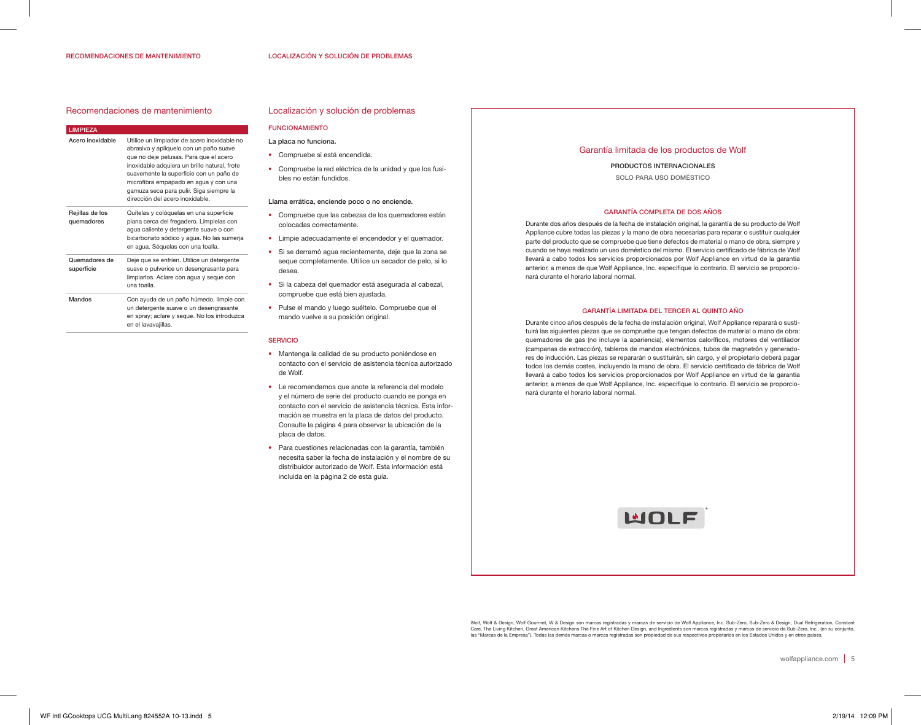#### RECOMENDACIONES DE MANTENIMIENTO

#### Recomendaciones de mantenimiento

#### LIMPIEZA

| Acero inoxidable              | Utilice un limpiador de acero inoxidable no<br>abrasivo y aplíquelo con un paño suave<br>que no deje pelusas. Para que el acero<br>inoxidable adquiera un brillo natural, frote<br>suavemente la superficie con un paño de<br>microfibra empapado en aqua y con una<br>gamuza seca para pulir. Siga siempre la<br>dirección del acero inoxidable. |
|-------------------------------|---------------------------------------------------------------------------------------------------------------------------------------------------------------------------------------------------------------------------------------------------------------------------------------------------------------------------------------------------|
| Rejillas de los<br>quemadores | Quítelas y colóquelas en una superficie<br>plana cerca del fregadero. Límpielas con<br>aqua caliente y detergente suave o con<br>bicarbonato sódico y agua. No las sumerja<br>en aqua. Séquelas con una toalla.                                                                                                                                   |
| Quemadores de<br>superficie   | Deje que se enfríen. Utilice un detergente<br>suave o pulverice un desengrasante para<br>limpiarlos. Aclare con agua y seque con<br>una toalla.                                                                                                                                                                                                   |
| Mandos                        | Con ayuda de un paño húmedo, limpie con<br>un detergente suave o un desengrasante<br>en spray; aclare y seque. No los introduzca<br>en el lavavajillas.                                                                                                                                                                                           |

#### Localización y solución de problemas

#### FUNCIONAMIENTO

- La placa no funciona.
- Compruebe si está encendida.
- Compruebe la red eléctrica de la unidad y que los fusibles no están fundidos.

#### Llama errática, enciende poco o no enciende.

- Compruebe que las cabezas de los quemadores están colocadas correctamente.
- Limpie adecuadamente el encendedor y el quemador.
- Si se derramó agua recientemente, deje que la zona se seque completamente. Utilice un secador de pelo, si lo desea.
- Si la cabeza del quemador está asegurada al cabezal, compruebe que está bien ajustada.
- Pulse el mando y luego suéltelo. Compruebe que el mando vuelve a su posición original.

#### SERVICIO

- Mantenga la calidad de su producto poniéndose en contacto con el servicio de asistencia técnica autorizado de Wolf.
- Le recomendamos que anote la referencia del modelo y el número de serie del producto cuando se ponga en contacto con el servicio de asistencia técnica. Esta información se muestra en la placa de datos del producto. Consulte la página 4 para observar la ubicación de la placa de datos.
- Para cuestiones relacionadas con la garantía, también necesita saber la fecha de instalación y el nombre de su distribuidor autorizado de Wolf. Esta información está incluida en la página 2 de esta guía.

#### Garantía limitada de los productos de Wolf

PRODUCTOS INTERNACIONALES SOLO PARA USO DOMÉSTICO

#### GARANTÍA COMPLETA DE DOS AÑOS

Durante dos años después de la fecha de instalación original, la garantía de su producto de Wolf Appliance cubre todas las piezas y la mano de obra necesarias para reparar o sustituir cualquier parte del producto que se compruebe que tiene defectos de material o mano de obra, siempre y cuando se haya realizado un uso doméstico del mismo. El servicio certificado de fábrica de Wolf llevará a cabo todos los servicios proporcionados por Wolf Appliance en virtud de la garantía anterior, a menos de que Wolf Appliance, Inc. especifique lo contrario. El servicio se proporcionará durante el horario laboral normal.

#### GARANTÍA LIMITADA DEL TERCER AL QUINTO AÑO

Durante cinco años después de la fecha de instalación original, Wolf Appliance reparará o sustituirá las siguientes piezas que se compruebe que tengan defectos de material o mano de obra: quemadores de gas (no incluye la apariencia), elementos caloríficos, motores del ventilador (campanas de extracción), tableros de mandos electrónicos, tubos de magnetrón y generadores de inducción. Las piezas se repararán o sustituirán, sin cargo, y el propietario deberá pagar todos los demás costes, incluyendo la mano de obra. El servicio certificado de fábrica de Wolf llevará a cabo todos los servicios proporcionados por Wolf Appliance en virtud de la garantía anterior, a menos de que Wolf Appliance, Inc. especifique lo contrario. El servicio se proporcionará durante el horario laboral normal.



Wolf, Wolf & Design, Wolf Gourmet, W & Design son marcas registradas y marcas de servicio de Wolf Appliance, Inc. Sub-Zero, Sub-Zero & Design, Dual Refrigeration, Constant<br>Care, The Living Kitchen, Great American Kitchen T las "Marcas de la Empresa"). Todas las demás marcas o marcas registradas son propiedad de sus respectivos propietarios en los Estados Unidos y en otros países.

wolfappliance.com | 5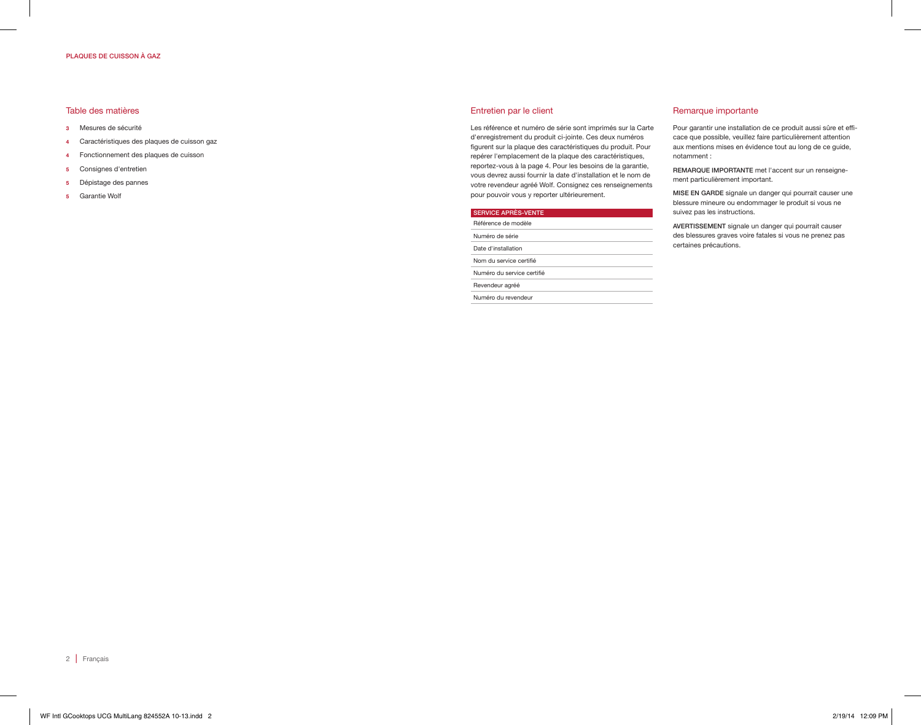#### PLAQUES DE CUISSON À GAZ

#### Table des matières

- 3 Mesures de sécurité
- 4 Caractéristiques des plaques de cuisson gaz
- 4 Fonctionnement des plaques de cuisson
- 5 Consignes d'entretien
- 5 Dépistage des pannes
- 5 Garantie Wolf

#### Entretien par le client

Numéro du revendeur

Les référence et numéro de série sont imprimés sur la Carte d'enregistrement du produit ci-jointe. Ces deux numéros figurent sur la plaque des caractéristiques du produit. Pour repérer l'emplacement de la plaque des caractéristiques, reportez-vous à la page 4. Pour les besoins de la garantie, vous devrez aussi fournir la date d'installation et le nom de votre revendeur agréé Wolf. Consignez ces renseignements pour pouvoir vous y reporter ultérieurement.

## SERVICE APRÈS-VENTE Référence de modèle Numéro de série Date d'installation Nom du service certifié Numéro du service certifié Revendeur agréé

## Remarque importante

Pour garantir une installation de ce produit aussi sûre et efficace que possible, veuillez faire particulièrement attention aux mentions mises en évidence tout au long de ce guide, notamment :

REMARQUE IMPORTANTE met l'accent sur un renseignement particulièrement important.

MISE EN GARDE signale un danger qui pourrait causer une blessure mineure ou endommager le produit si vous ne suivez pas les instructions.

AVERTISSEMENT signale un danger qui pourrait causer des blessures graves voire fatales si vous ne prenez pas certaines précautions.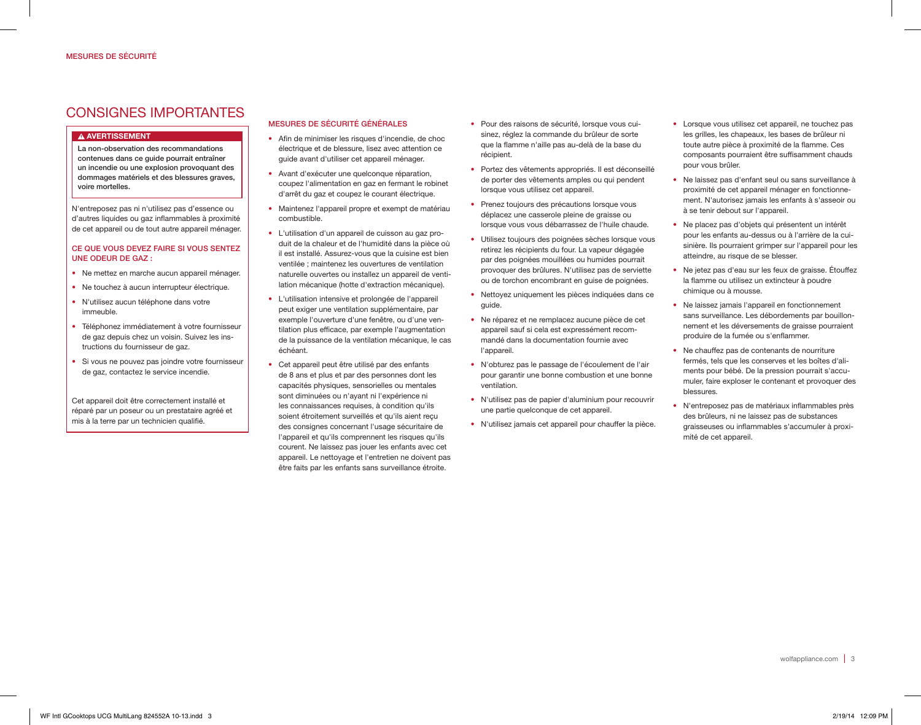## CONSIGNES IMPORTANTES

## A AVERTISSEMENT

La non-observation des recommandations contenues dans ce guide pourrait entraîner un incendie ou une explosion provoquant des dommages matériels et des blessures graves, voire mortelles.

N'entreposez pas ni n'utilisez pas d'essence ou d'autres liquides ou gaz inflammables à proximité de cet appareil ou de tout autre appareil ménager.

## CE QUE VOUS DEVEZ FAIRE SI VOUS SENTEZ UNE ODEUR DE GAZ :

- Ne mettez en marche aucun appareil ménager.
- Ne touchez à aucun interrupteur électrique.
- N'utilisez aucun téléphone dans votre immeuble.
- Téléphonez immédiatement à votre fournisseur de gaz depuis chez un voisin. Suivez les instructions du fournisseur de gaz.
- Si vous ne pouvez pas joindre votre fournisseur de gaz, contactez le service incendie.

Cet appareil doit être correctement installé et réparé par un poseur ou un prestataire agréé et mis à la terre par un technicien qualifié.

## MESURES DE SÉCURITÉ GÉNÉRALES

- Afin de minimiser les risques d'incendie, de choc électrique et de blessure, lisez avec attention ce guide avant d'utiliser cet appareil ménager.
- Avant d'exécuter une quelconque réparation, coupez l'alimentation en gaz en fermant le robinet d'arrêt du gaz et coupez le courant électrique.
- Maintenez l'appareil propre et exempt de matériau combustible.
- L'utilisation d'un appareil de cuisson au gaz produit de la chaleur et de l'humidité dans la pièce où il est installé. Assurez-vous que la cuisine est bien ventilée ; maintenez les ouvertures de ventilation naturelle ouvertes ou installez un appareil de ventilation mécanique (hotte d'extraction mécanique).
- L'utilisation intensive et prolongée de l'appareil peut exiger une ventilation supplémentaire, par exemple l'ouverture d'une fenêtre, ou d'une ventilation plus efficace, par exemple l'augmentation de la puissance de la ventilation mécanique, le cas échéant.
- Cet appareil peut être utilisé par des enfants de 8 ans et plus et par des personnes dont les capacités physiques, sensorielles ou mentales sont diminuées ou n'ayant ni l'expérience ni les connaissances requises, à condition qu'ils soient étroitement surveillés et qu'ils aient recu des consignes concernant l'usage sécuritaire de l'appareil et qu'ils comprennent les risques qu'ils courent. Ne laissez pas jouer les enfants avec cet appareil. Le nettoyage et l'entretien ne doivent pas être faits par les enfants sans surveillance étroite.
- Pour des raisons de sécurité, lorsque vous cuisinez, réglez la commande du brûleur de sorte que la flamme n'aille pas au-delà de la base du récipient.
- Portez des vêtements appropriés. Il est déconseillé de porter des vêtements amples ou qui pendent lorsque vous utilisez cet appareil.
- Prenez toujours des précautions lorsque vous déplacez une casserole pleine de graisse ou lorsque vous vous débarrassez de l'huile chaude.
- Utilisez toujours des poignées sèches lorsque vous retirez les récipients du four. La vapeur dégagée par des poignées mouillées ou humides pourrait provoquer des brûlures. N'utilisez pas de serviette ou de torchon encombrant en guise de poignées.
- Nettoyez uniquement les pièces indiquées dans ce guide.
- Ne réparez et ne remplacez aucune pièce de cet appareil sauf si cela est expressément recommandé dans la documentation fournie avec l'appareil.
- N'obturez pas le passage de l'écoulement de l'air pour garantir une bonne combustion et une bonne ventilation.
- N'utilisez pas de papier d'aluminium pour recouvrir une partie quelconque de cet appareil.
- N'utilisez jamais cet appareil pour chauffer la pièce.
- Lorsque vous utilisez cet appareil, ne touchez pas les grilles, les chapeaux, les bases de brûleur ni toute autre pièce à proximité de la flamme. Ces composants pourraient être suffisamment chauds pour vous brûler.
- Ne laissez pas d'enfant seul ou sans surveillance à proximité de cet appareil ménager en fonctionnement. N'autorisez jamais les enfants à s'asseoir ou à se tenir debout sur l'appareil.
- Ne placez pas d'objets qui présentent un intérêt pour les enfants au-dessus ou à l'arrière de la cuisinière. Ils pourraient grimper sur l'appareil pour les atteindre, au risque de se blesser.
- Ne jetez pas d'eau sur les feux de graisse. Étouffez la flamme ou utilisez un extincteur à poudre chimique ou à mousse.
- Ne laissez jamais l'appareil en fonctionnement sans surveillance. Les débordements par bouillonnement et les déversements de graisse pourraient produire de la fumée ou s'enflammer.
- Ne chauffez pas de contenants de nourriture fermés, tels que les conserves et les boîtes d'aliments pour bébé. De la pression pourrait s'accumuler, faire exploser le contenant et provoquer des blessures.
- N'entreposez pas de matériaux inflammables près des brûleurs, ni ne laissez pas de substances graisseuses ou inflammables s'accumuler à proximité de cet appareil.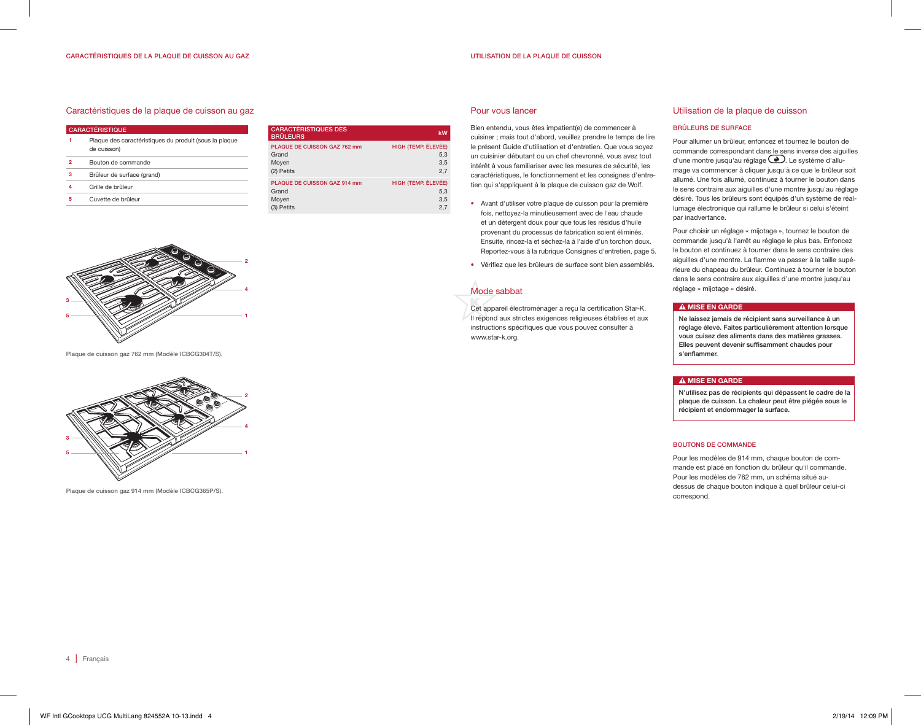#### UTILISATION DE LA PLAQUE DE CUISSON

#### Caractéristiques de la plaque de cuisson au gaz

| <b>CARACTÉRISTIQUE</b> |                                                                       |  |
|------------------------|-----------------------------------------------------------------------|--|
| 1                      | Plaque des caractéristiques du produit (sous la plaque<br>de cuisson) |  |
| 2                      | Bouton de commande                                                    |  |
| з                      | Brûleur de surface (grand)                                            |  |
| 4                      | Grille de brûleur                                                     |  |
| 5                      | Cuvette de brûleur                                                    |  |
|                        |                                                                       |  |

| <b>CARACTÉRISTIQUES DES</b><br><b>BRÛLEURS</b>                      | kW                                       |
|---------------------------------------------------------------------|------------------------------------------|
| <b>PLAQUE DE CUISSON GAZ 762 mm</b><br>Grand<br>Moyen<br>(2) Petits | HIGH (TEMP. ÉLEVÉE)<br>5,3<br>3,5<br>2.7 |
| PLAQUE DE CUISSON GAZ 914 mm<br>Grand<br>Moyen<br>(3) Petits        | HIGH (TEMP. ÉLEVÉE)<br>5.3<br>3.5<br>2.7 |

#### Pour vous lancer

Bien entendu, vous êtes impatient(e) de commencer à cuisiner ; mais tout d'abord, veuillez prendre le temps de lire le présent Guide d'utilisation et d'entretien. Que vous soyez un cuisinier débutant ou un chef chevronné, vous avez tout intérêt à vous familiariser avec les mesures de sécurité, les caractéristiques, le fonctionnement et les consignes d'entretien qui s'appliquent à la plaque de cuisson gaz de Wolf.

- Avant d'utiliser votre plaque de cuisson pour la première fois, nettoyez-la minutieusement avec de l'eau chaude et un détergent doux pour que tous les résidus d'huile provenant du processus de fabrication soient éliminés. Ensuite, rincez-la et séchez-la à l'aide d'un torchon doux. Reportez-vous à la rubrique Consignes d'entretien, page 5.
- Vérifiez que les brûleurs de surface sont bien assemblés.

## Mode sabbat

Cet appareil électroménager a reçu la certification Star-K. Il répond aux strictes exigences religieuses établies et aux instructions spécifiques que vous pouvez consulter à www.star-k.org.

#### Utilisation de la plaque de cuisson

#### BRÛLEURS DE SURFACE

Pour allumer un brûleur, enfoncez et tournez le bouton de commande correspondant dans le sens inverse des aiguilles d'une montre jusqu'au réglage  $\bigcirc$ . Le système d'allumage va commencer à cliquer jusqu'à ce que le brûleur soit allumé. Une fois allumé, continuez à tourner le bouton dans le sens contraire aux aiguilles d'une montre jusqu'au réglage désiré. Tous les brûleurs sont équipés d'un système de réallumage électronique qui rallume le brûleur si celui s'éteint par inadvertance.

Pour choisir un réglage « mijotage », tournez le bouton de commande jusqu'à l'arrêt au réglage le plus bas. Enfoncez le bouton et continuez à tourner dans le sens contraire des aiguilles d'une montre. La flamme va passer à la taille supérieure du chapeau du brûleur. Continuez à tourner le bouton dans le sens contraire aux aiguilles d'une montre jusqu'au réglage « mijotage » désiré.

#### A MISE EN GARDE

Ne laissez jamais de récipient sans surveillance à un réglage élevé. Faites particulièrement attention lorsque vous cuisez des aliments dans des matières grasses. Elles peuvent devenir suffisamment chaudes pour s'enflammer.

#### A MISE EN GARDE

N'utilisez pas de récipients qui dépassent le cadre de la plaque de cuisson. La chaleur peut être piégée sous le récipient et endommager la surface.

#### BOUTONS DE COMMANDE

Pour les modèles de 914 mm, chaque bouton de commande est placé en fonction du brûleur qu'il commande. Pour les modèles de 762 mm, un schéma situé audessus de chaque bouton indique à quel brûleur celui-ci correspond.

Plaque de cuisson gaz 762 mm (Modèle ICBCG304T/S).



Plaque de cuisson gaz 914 mm (Modèle ICBCG365P/S).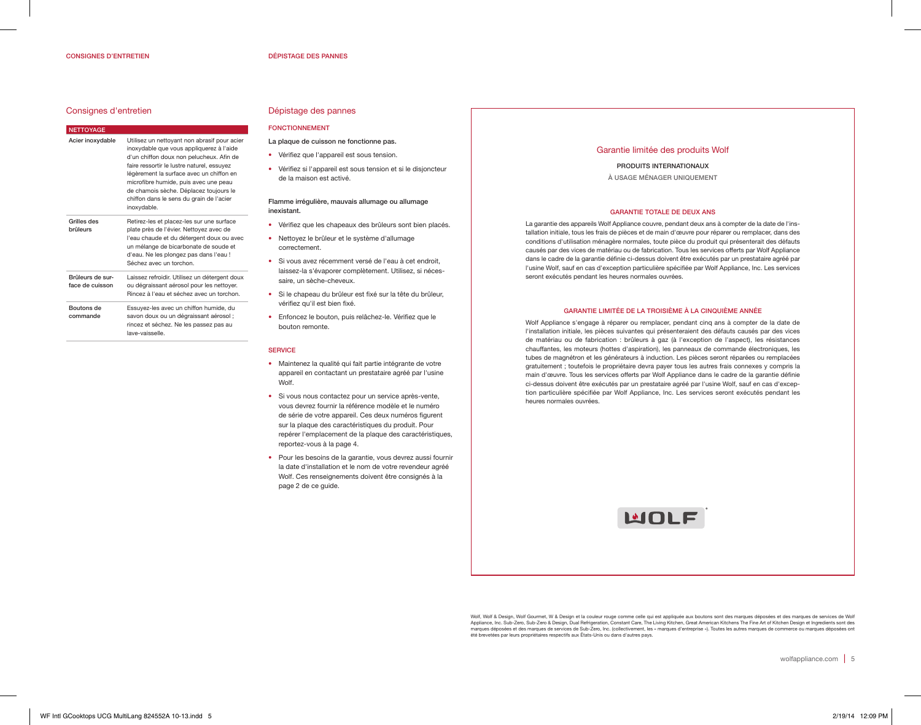#### Consignes d'entretien

| <b>NETTOYAGE</b>                    |                                                                                                                                                                                                                                                                                                                                                                              |
|-------------------------------------|------------------------------------------------------------------------------------------------------------------------------------------------------------------------------------------------------------------------------------------------------------------------------------------------------------------------------------------------------------------------------|
| Acier inoxydable                    | Utilisez un nettoyant non abrasif pour acier<br>inoxydable que vous appliquerez à l'aide<br>d'un chiffon doux non pelucheux. Afin de<br>faire ressortir le lustre naturel, essuyez<br>légèrement la surface avec un chiffon en<br>microfibre humide, puis avec une peau<br>de chamois sèche. Déplacez toujours le<br>chiffon dans le sens du grain de l'acier<br>inoxydable. |
| Grilles des<br>brûleurs             | Retirez-les et placez-les sur une surface<br>plate près de l'évier. Nettoyez avec de<br>l'eau chaude et du détergent doux ou avec<br>un mélange de bicarbonate de soude et<br>d'eau. Ne les plongez pas dans l'eau !<br>Séchez avec un torchon.                                                                                                                              |
| Brûleurs de sur-<br>face de cuisson | Laissez refroidir. Utilisez un détergent doux<br>ou dégraissant aérosol pour les nettoyer.<br>Rincez à l'eau et séchez avec un torchon.                                                                                                                                                                                                                                      |
| Boutons de<br>commande              | Essuyez-les avec un chiffon humide, du<br>savon doux ou un dégraissant aérosol ;<br>rincez et séchez. Ne les passez pas au<br>lave-vaisselle.                                                                                                                                                                                                                                |

## Dépistage des pannes

## FONCTIONNEMENT

- La plaque de cuisson ne fonctionne pas.
- Vérifiez que l'appareil est sous tension.
- Vérifiez si l'appareil est sous tension et si le disjoncteur de la maison est activé.

#### Flamme irrégulière, mauvais allumage ou allumage inexistant.

- Vérifiez que les chapeaux des brûleurs sont bien placés.
- Nettoyez le brûleur et le système d'allumage correctement.
- Si vous avez récemment versé de l'eau à cet endroit, laissez-la s'évaporer complètement. Utilisez, si nécessaire, un sèche-cheveux.
- Si le chapeau du brûleur est fixé sur la tête du brûleur, vérifiez qu'il est bien fixé.
- Enfoncez le bouton, puis relâchez-le. Vérifiez que le bouton remonte.

#### **SERVICE**

- Maintenez la qualité qui fait partie intégrante de votre appareil en contactant un prestataire agréé par l'usine Wolf.
- Si vous nous contactez pour un service après-vente, vous devrez fournir la référence modèle et le numéro de série de votre appareil. Ces deux numéros figurent sur la plaque des caractéristiques du produit. Pour repérer l'emplacement de la plaque des caractéristiques, reportez-vous à la page 4.
- Pour les besoins de la garantie, vous devrez aussi fournir la date d'installation et le nom de votre revendeur agréé Wolf. Ces renseignements doivent être consignés à la page 2 de ce guide.

#### Garantie limitée des produits Wolf

#### PRODUITS INTERNATIONAUX À USAGE MÉNAGER UNIQUEMENT

#### GARANTIE TOTALE DE DEUX ANS

La garantie des appareils Wolf Appliance couvre, pendant deux ans à compter de la date de l'installation initiale, tous les frais de pièces et de main d'œuvre pour réparer ou remplacer, dans des conditions d'utilisation ménagère normales, toute pièce du produit qui présenterait des défauts causés par des vices de matériau ou de fabrication. Tous les services offerts par Wolf Appliance dans le cadre de la garantie définie ci-dessus doivent être exécutés par un prestataire agréé par l'usine Wolf, sauf en cas d'exception particulière spécifiée par Wolf Appliance, Inc. Les services seront exécutés pendant les heures normales ouvrées.

#### GARANTIE LIMITÉE DE LA TROISIÈME À LA CINQUIÈME ANNÉE

Wolf Appliance s'engage à réparer ou remplacer, pendant cinq ans à compter de la date de l'installation initiale, les pièces suivantes qui présenteraient des défauts causés par des vices de matériau ou de fabrication : brûleurs à gaz (à l'exception de l'aspect), les résistances chauffantes, les moteurs (hottes d'aspiration), les panneaux de commande électroniques, les tubes de magnétron et les générateurs à induction. Les pièces seront réparées ou remplacées gratuitement ; toutefois le propriétaire devra payer tous les autres frais connexes y compris la main d'œuvre. Tous les services offerts par Wolf Appliance dans le cadre de la garantie définie ci-dessus doivent être exécutés par un prestataire agréé par l'usine Wolf, sauf en cas d'exception particulière spécifiée par Wolf Appliance, Inc. Les services seront exécutés pendant les heures normales ouvrées.



Wolf, Wolf & Design, Wolf Gourmet, W & Design et la couleur rouge comme celle qui est appliquée aux boutons sont des marques déposées et des marques de services de Wolf Appliance, Inc. Sub-Zero, Sub-Zero & Design, Dual Refrigeration, Constant Care, The Living Kitchen, Great American Kitchens The Fine Art of Kitchen Design et Ingredients sont des<br>marques déposées et des marques de services été brevetées par leurs propriétaires respectifs aux États-Unis ou dans d'autres pays.

wolfappliance.com | 5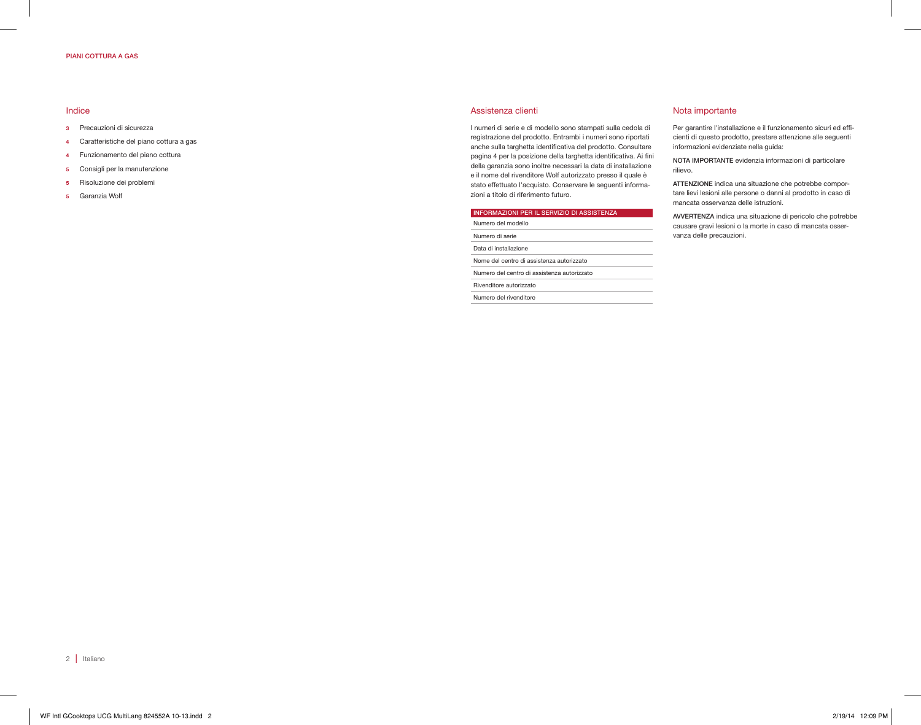#### PIANI COTTURA A GAS

#### Indice

- 3 Precauzioni di sicurezza
- 4 Caratteristiche del piano cottura a gas
- 4 Funzionamento del piano cottura
- 5 Consigli per la manutenzione
- 5 Risoluzione dei problemi
- 5 Garanzia Wolf

#### Assistenza clienti

I numeri di serie e di modello sono stampati sulla cedola di registrazione del prodotto. Entrambi i numeri sono riportati anche sulla targhetta identificativa del prodotto. Consultare pagina 4 per la posizione della targhetta identificativa. Ai fini della garanzia sono inoltre necessari la data di installazione e il nome del rivenditore Wolf autorizzato presso il quale è stato effettuato l'acquisto. Conservare le seguenti informazioni a titolo di riferimento futuro.

#### INFORMAZIONI PER IL SERVIZIO DI ASSISTENZA

Numero del modello Numero di serie Data di installazione Nome del centro di assistenza autorizzato Numero del centro di assistenza autorizzato Rivenditore autorizzato Numero del rivenditore

#### Nota importante

Per garantire l'installazione e il funzionamento sicuri ed efficienti di questo prodotto, prestare attenzione alle seguenti informazioni evidenziate nella guida:

NOTA IMPORTANTE evidenzia informazioni di particolare rilievo.

ATTENZIONE indica una situazione che potrebbe comportare lievi lesioni alle persone o danni al prodotto in caso di mancata osservanza delle istruzioni.

AVVERTENZA indica una situazione di pericolo che potrebbe causare gravi lesioni o la morte in caso di mancata osservanza delle precauzioni.

2 | Italiano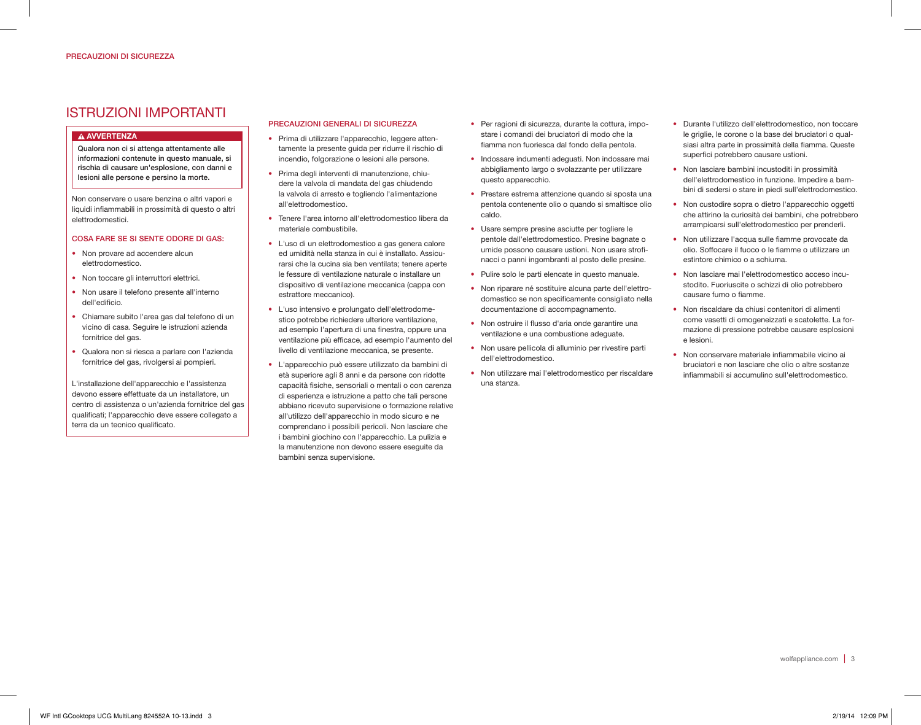## ISTRUZIONI IMPORTANTI

#### A AVVERTENZA

Qualora non ci si attenga attentamente alle informazioni contenute in questo manuale, si rischia di causare un'esplosione, con danni e lesioni alle persone e persino la morte.

Non conservare o usare benzina o altri vapori e liquidi infiammabili in prossimità di questo o altri elettrodomestici.

#### COSA FARE SE SI SENTE ODORE DI GAS:

- Non provare ad accendere alcun elettrodomestico.
- Non toccare gli interruttori elettrici.
- Non usare il telefono presente all'interno dell'edificio.
- Chiamare subito l'area gas dal telefono di un vicino di casa. Seguire le istruzioni azienda fornitrice del gas.
- Qualora non si riesca a parlare con l'azienda fornitrice del gas, rivolgersi ai pompieri.

L'installazione dell'apparecchio e l'assistenza devono essere effettuate da un installatore, un centro di assistenza o un'azienda fornitrice del gas qualificati; l'apparecchio deve essere collegato a terra da un tecnico qualificato.

## PRECAUZIONI GENERALI DI SICUREZZA

- Prima di utilizzare l'apparecchio, leggere attentamente la presente guida per ridurre il rischio di incendio, folgorazione o lesioni alle persone.
- Prima degli interventi di manutenzione, chiudere la valvola di mandata del gas chiudendo la valvola di arresto e togliendo l'alimentazione all'elettrodomestico.
- Tenere l'area intorno all'elettrodomestico libera da materiale combustibile.
- L'uso di un elettrodomestico a gas genera calore ed umidità nella stanza in cui è installato. Assicurarsi che la cucina sia ben ventilata; tenere aperte le fessure di ventilazione naturale o installare un dispositivo di ventilazione meccanica (cappa con estrattore meccanico).
- L'uso intensivo e prolungato dell'elettrodomestico potrebbe richiedere ulteriore ventilazione, ad esempio l'apertura di una finestra, oppure una ventilazione più efficace, ad esempio l'aumento del livello di ventilazione meccanica, se presente.
- L'apparecchio può essere utilizzato da bambini di età superiore agli 8 anni e da persone con ridotte capacità fisiche, sensoriali o mentali o con carenza di esperienza e istruzione a patto che tali persone abbiano ricevuto supervisione o formazione relative all'utilizzo dell'apparecchio in modo sicuro e ne comprendano i possibili pericoli. Non lasciare che i bambini giochino con l'apparecchio. La pulizia e la manutenzione non devono essere eseguite da bambini senza supervisione.
- Per ragioni di sicurezza, durante la cottura, impostare i comandi dei bruciatori di modo che la fiamma non fuoriesca dal fondo della pentola.
- Indossare indumenti adeguati. Non indossare mai abbigliamento largo o svolazzante per utilizzare questo apparecchio.
- Prestare estrema attenzione quando si sposta una pentola contenente olio o quando si smaltisce olio caldo.
- Usare sempre presine asciutte per togliere le pentole dall'elettrodomestico. Presine bagnate o umide possono causare ustioni. Non usare strofinacci o panni ingombranti al posto delle presine.
- Pulire solo le parti elencate in questo manuale.
- Non riparare né sostituire alcuna parte dell'elettrodomestico se non specificamente consigliato nella documentazione di accompagnamento.
- Non ostruire il flusso d'aria onde garantire una ventilazione e una combustione adeguate.
- Non usare pellicola di alluminio per rivestire parti dell'elettrodomestico.
- Non utilizzare mai l'elettrodomestico per riscaldare una stanza.
- Durante l'utilizzo dell'elettrodomestico, non toccare le griglie, le corone o la base dei bruciatori o qualsiasi altra parte in prossimità della fiamma. Queste superfici potrebbero causare ustioni.
- Non lasciare bambini incustoditi in prossimità dell'elettrodomestico in funzione. Impedire a bambini di sedersi o stare in piedi sull'elettrodomestico.
- Non custodire sopra o dietro l'apparecchio oggetti che attirino la curiosità dei bambini, che potrebbero arrampicarsi sull'elettrodomestico per prenderli.
- Non utilizzare l'acqua sulle fiamme provocate da olio. Soffocare il fuoco o le fiamme o utilizzare un estintore chimico o a schiuma.
- Non lasciare mai l'elettrodomestico acceso incustodito. Fuoriuscite o schizzi di olio potrebbero causare fumo o fiamme.
- Non riscaldare da chiusi contenitori di alimenti come vasetti di omogeneizzati e scatolette. La formazione di pressione potrebbe causare esplosioni e lesioni.
- Non conservare materiale infiammabile vicino ai bruciatori e non lasciare che olio o altre sostanze infiammabili si accumulino sull'elettrodomestico.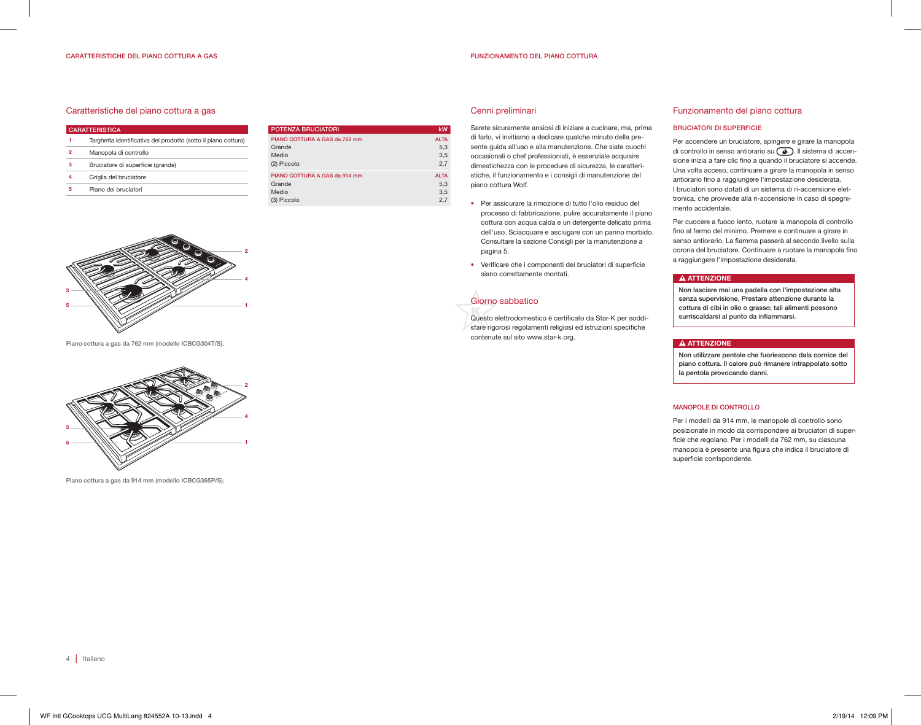#### Caratteristiche del piano cottura a gas

| <b>CARATTERISTICA</b> |                                                                |  |
|-----------------------|----------------------------------------------------------------|--|
| 1                     | Targhetta identificativa del prodotto (sotto il piano cottura) |  |
| 2                     | Manopola di controllo                                          |  |
| з                     | Bruciatore di superficie (grande)                              |  |
| 4                     | Griglia del bruciatore                                         |  |
| 5                     | Piano dei bruciatori                                           |  |
|                       |                                                                |  |

| <b>POTENZA BRUCIATORI</b>     | kW          |
|-------------------------------|-------------|
| PIANO COTTURA A GAS da 762 mm | <b>ALTA</b> |
| Grande                        | 5.3         |
| Medio                         | 3,5         |
| (2) Piccolo                   | 2.7         |
| PIANO COTTURA A GAS da 914 mm | <b>ALTA</b> |
| Grande                        | 5.3         |
| Medio                         | 3.5         |
| (3) Piccolo                   | 2.7         |

#### Cenni preliminari

Sarete sicuramente ansiosi di iniziare a cucinare, ma, prima di farlo, vi invitiamo a dedicare qualche minuto della presente guida all'uso e alla manutenzione. Che siate cuochi occasionali o chef professionisti, è essenziale acquisire dimestichezza con le procedure di sicurezza, le caratteristiche, il funzionamento e i consigli di manutenzione del piano cottura Wolf.

- Per assicurare la rimozione di tutto l'olio residuo del processo di fabbricazione, pulire accuratamente il piano cottura con acqua calda e un detergente delicato prima dell'uso. Sciacquare e asciugare con un panno morbido. Consultare la sezione Consigli per la manutenzione a pagina 5.
- Verificare che i componenti dei bruciatori di superficie siano correttamente montati.

## Giorno sabbatico

Questo elettrodomestico è certificato da Star-K per soddisfare rigorosi regolamenti religiosi ed istruzioni specifiche contenute sul sito www.star-k.org.

#### Funzionamento del piano cottura

#### BRUCIATORI DI SUPERFICIE

Per accendere un bruciatore, spingere e girare la manopola di controllo in senso antiorario su . Il sistema di accensione inizia a fare clic fino a quando il bruciatore si accende. Una volta acceso, continuare a girare la manopola in senso antiorario fino a raggiungere l'impostazione desiderata. I bruciatori sono dotati di un sistema di ri-accensione elettronica, che provvede alla ri-accensione in caso di spegnimento accidentale.

Per cuocere a fuoco lento, ruotare la manopola di controllo fino al fermo del minimo. Premere e continuare a girare in senso antiorario. La fiamma passerà al secondo livello sulla corona del bruciatore. Continuare a ruotare la manopola fino a raggiungere l'impostazione desiderata.

#### **A ATTENZIONE**

Non lasciare mai una padella con l'impostazione alta senza supervisione. Prestare attenzione durante la cottura di cibi in olio o grasso; tali alimenti possono surriscaldarsi al punto da infiammarsi.

#### **A ATTENZIONE**

Non utilizzare pentole che fuoriescono dala cornice del piano cottura. Il calore può rimanere intrappolato sotto la pentola provocando danni.

#### MANOPOLE DI CONTROLLO

Per i modelli da 914 mm, le manopole di controllo sono posizionate in modo da corrispondere ai bruciatori di superficie che regolano. Per i modelli da 762 mm, su ciascuna manopola è presente una figura che indica il bruciatore di superficie corrispondente.



Piano cottura a gas da 762 mm (modello ICBCG304T/S).



Piano cottura a gas da 914 mm (modello ICBCG365P/S).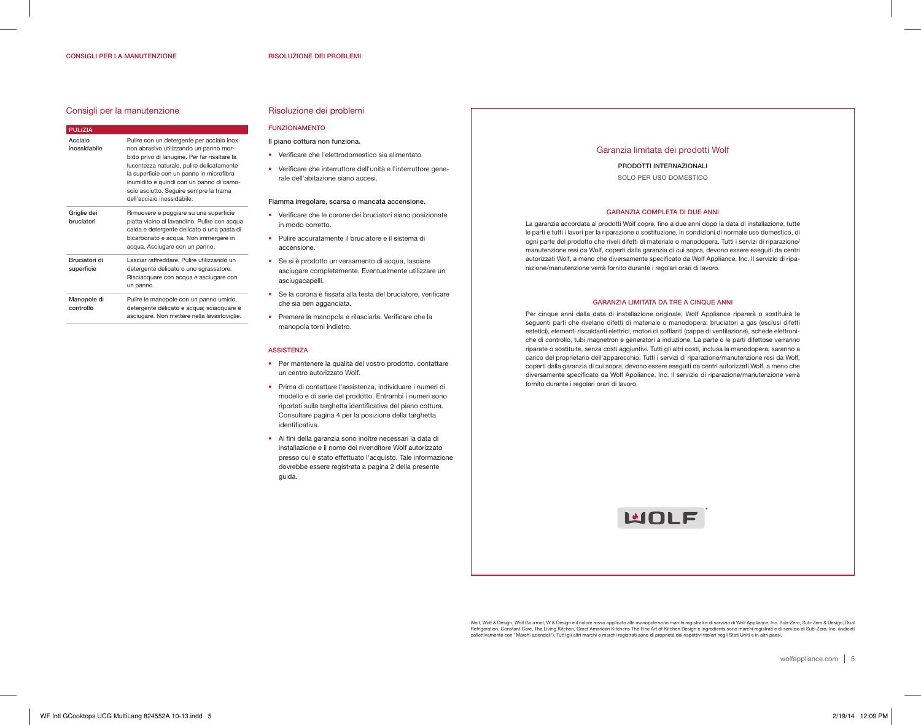#### CONSIGLI PER LA MANUTENZIONE

#### Consigli per la manutenzione

| <b>PULIZIA</b>                     |                                                                                                                                                                                                                                                                                                                                                  |
|------------------------------------|--------------------------------------------------------------------------------------------------------------------------------------------------------------------------------------------------------------------------------------------------------------------------------------------------------------------------------------------------|
| Acciaio<br>inossidabile            | Pulire con un detergente per acciaio inox<br>non abrasivo utilizzando un panno mor-<br>bido privo di lanugine. Per far risaltare la<br>lucentezza naturale, pulire delicatamente<br>la superficie con un panno in microfibra<br>inumidito e quindi con un panno di camo-<br>scio asciutto. Sequire sempre la trama<br>dell'acciaio inossidabile. |
| Griglie dei<br>bruciatori          | Rimuovere e poggiare su una superficie<br>piatta vicino al lavandino. Pulire con acqua<br>calda e detergente delicato o una pasta di<br>bicarbonato e acqua. Non immergere in<br>acqua. Asciugare con un panno.                                                                                                                                  |
| <b>Bruciatori di</b><br>superficie | Lasciar raffreddare. Pulire utilizzando un<br>detergente delicato o uno sgrassatore.<br>Risciacquare con acqua e asciugare con<br>un panno.                                                                                                                                                                                                      |
| Manopole di<br>controllo           | Pulire le manopole con un panno umido,<br>detergente delicato e acqua; sciacquare e<br>asciugare. Non mettere nella lavastoviglie.                                                                                                                                                                                                               |

## Risoluzione dei problemi

## FUNZIONAMENTO

- Il piano cottura non funziona.
- Verificare che l'elettrodomestico sia alimentato.
- Verificare che interruttore dell'unità e l'interruttore generale dell'abitazione siano accesi.

#### Fiamma irregolare, scarsa o mancata accensione.

- Verificare che le corone dei bruciatori siano posizionate in modo corretto.
- Pulire accuratamente il bruciatore e il sistema di accensione.
- Se si è prodotto un versamento di acqua, lasciare asciugare completamente. Eventualmente utilizzare un asciugacapelli.
- Se la corona è fissata alla testa del bruciatore, verificare che sia ben agganciata.
- Premere la manopola e rilasciarla. Verificare che la manopola torni indietro.

#### **ASSISTENZA**

- Per mantenere la qualità del vostro prodotto, contattare un centro autorizzato Wolf.
- Prima di contattare l'assistenza, individuare i numeri di modello e di serie del prodotto. Entrambi i numeri sono riportati sulla targhetta identificativa del piano cottura. Consultare pagina 4 per la posizione della targhetta identificativa.
- Ai fini della garanzia sono inoltre necessari la data di installazione e il nome del rivenditore Wolf autorizzato presso cui è stato effettuato l'acquisto. Tale informazione dovrebbe essere registrata a pagina 2 della presente guida.

#### Garanzia limitata dei prodotti Wolf

PRODOTTI INTERNAZIONALI SOLO PER USO DOMESTICO

#### GARANZIA COMPLETA DI DUE ANNI

La garanzia accordata ai prodotti Wolf copre, fino a due anni dopo la data di installazione, tutte le parti e tutti i lavori per la riparazione o sostituzione, in condizioni di normale uso domestico, di ogni parte del prodotto che riveli difetti di materiale o manodopera. Tutti i servizi di riparazione/ manutenzione resi da Wolf, coperti dalla garanzia di cui sopra, devono essere eseguiti da centri autorizzati Wolf, a meno che diversamente specificato da Wolf Appliance, Inc. Il servizio di riparazione/manutenzione verrà fornito durante i regolari orari di lavoro.

#### GARANZIA LIMITATA DA TRE A CINQUE ANNI

Per cinque anni dalla data di installazione originale, Wolf Appliance riparerà o sostituirà le seguenti parti che rivelano difetti di materiale o manodopera: bruciatori a gas (esclusi difetti estetici), elementi riscaldanti elettrici, motori di soffianti (cappe di ventilazione), schede elettroniche di controllo, tubi magnetron e generatori a induzione. La parte o le parti difettose verranno riparate o sostituite, senza costi aggiuntivi. Tutti gli altri costi, inclusa la manodopera, saranno a carico del proprietario dell'apparecchio. Tutti i servizi di riparazione/manutenzione resi da Wolf, coperti dalla garanzia di cui sopra, devono essere eseguiti da centri autorizzati Wolf, a meno che diversamente specificato da Wolf Appliance, Inc. Il servizio di riparazione/manutenzione verrà fornito durante i regolari orari di lavoro.



Wolf, Wolf & Design, Wolf Gourmet, W & Design e il colore rosso applicato alle manopole sono marchi registrati e di servizio di Wolf Appliance, Inc. Sub-Zero, Sub-Zero & Design, Dual<br>Refrigeration, Constant Care, The Livin collettivamente con "Marchi aziendali"). Tutti gli altri marchi o marchi registrati sono di proprietà dei rispettivi titolari negli Stati Uniti e in altri paesi.

wolfappliance.com | 5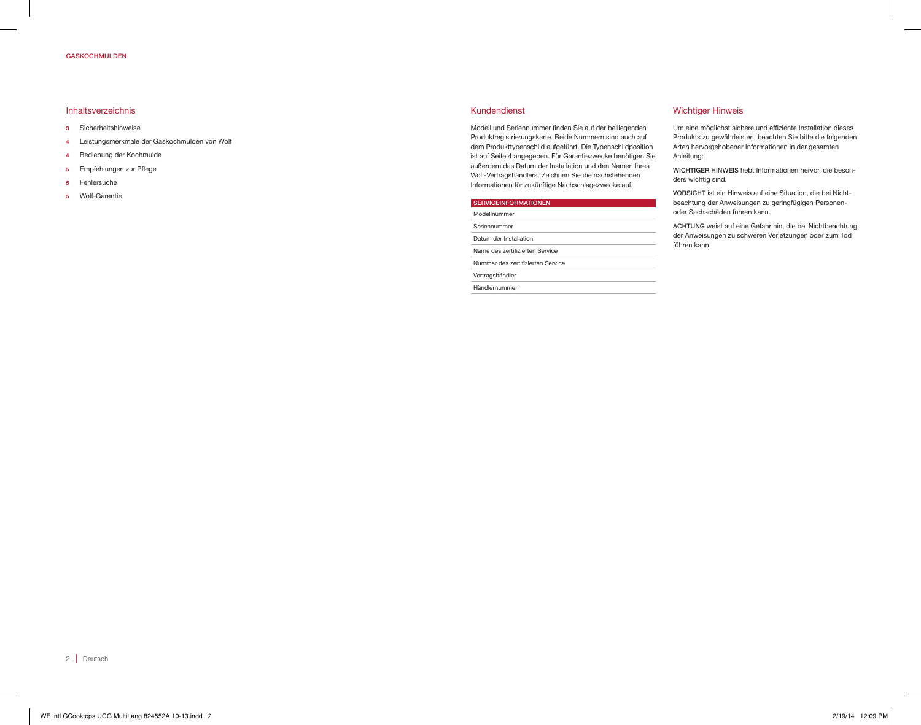#### GASKOCHMULDEN

#### Inhaltsverzeichnis

- 3 Sicherheitshinweise
- 4 Leistungsmerkmale der Gaskochmulden von Wolf
- 4 Bedienung der Kochmulde
- 5 Empfehlungen zur Pflege
- 5 Fehlersuche
- 5 Wolf-Garantie

#### Kundendienst

Modell und Seriennummer finden Sie auf der beiliegenden Produktregistrierungskarte. Beide Nummern sind auch auf dem Produkttypenschild aufgeführt. Die Typenschildposition ist auf Seite 4 angegeben. Für Garantiezwecke benötigen Sie außerdem das Datum der Installation und den Namen Ihres Wolf-Vertragshändlers. Zeichnen Sie die nachstehenden Informationen für zukünftige Nachschlagezwecke auf.

| <b>SERVICEINFORMATIONEN</b>       |  |
|-----------------------------------|--|
| Modellnummer                      |  |
| Seriennummer                      |  |
| Datum der Installation            |  |
| Name des zertifizierten Service   |  |
| Nummer des zertifizierten Service |  |
| Vertragshändler                   |  |
|                                   |  |
| Händlernummer                     |  |

#### Wichtiger Hinweis

Um eine möglichst sichere und effiziente Installation dieses Produkts zu gewährleisten, beachten Sie bitte die folgenden Arten hervorgehobener Informationen in der gesamten Anleitung:

WICHTIGER HINWEIS hebt Informationen hervor, die besonders wichtig sind.

VORSICHT ist ein Hinweis auf eine Situation, die bei Nichtbeachtung der Anweisungen zu geringfügigen Personenoder Sachschäden führen kann.

ACHTUNG weist auf eine Gefahr hin, die bei Nichtbeachtung der Anweisungen zu schweren Verletzungen oder zum Tod führen kann.

2 Deutsch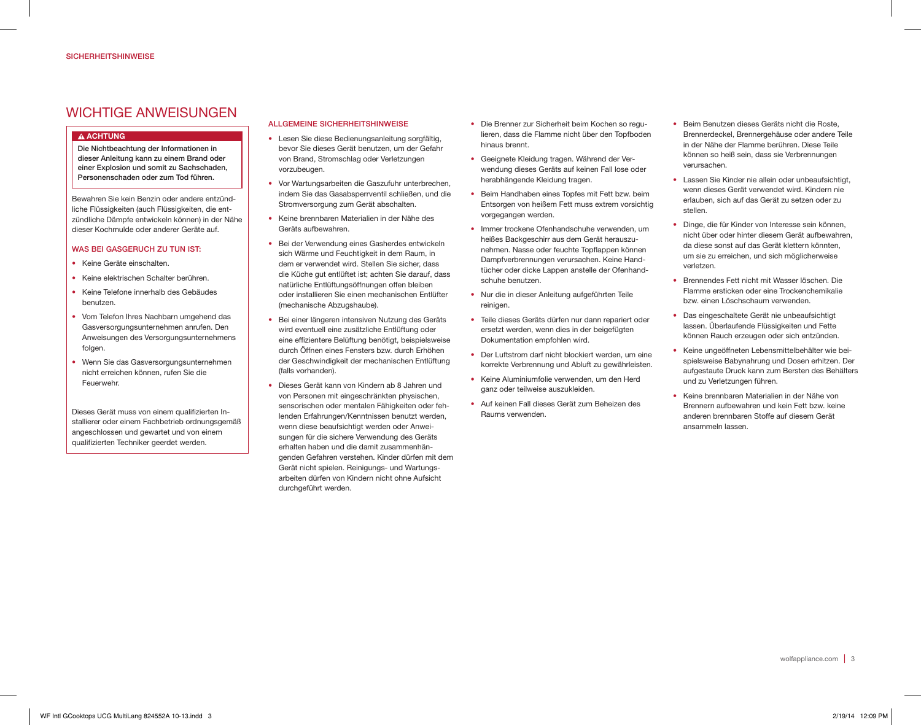## WICHTIGE ANWEISUNGEN

#### **A ACHTUNG**

Die Nichtbeachtung der Informationen in dieser Anleitung kann zu einem Brand oder einer Explosion und somit zu Sachschaden, Personenschaden oder zum Tod führen.

Bewahren Sie kein Benzin oder andere entzündliche Flüssigkeiten (auch Flüssigkeiten, die entzündliche Dämpfe entwickeln können) in der Nähe dieser Kochmulde oder anderer Geräte auf.

#### WAS BEI GASGERUCH ZU TUN IST:

- Keine Geräte einschalten.
- Keine elektrischen Schalter berühren.
- Keine Telefone innerhalb des Gebäudes benutzen.
- Vom Telefon Ihres Nachbarn umgehend das Gasversorgungsunternehmen anrufen. Den Anweisungen des Versorgungsunternehmens folgen.
- Wenn Sie das Gasversorgungsunternehmen nicht erreichen können, rufen Sie die Feuerwehr.

Dieses Gerät muss von einem qualifizierten Installierer oder einem Fachbetrieb ordnungsgemäß angeschlossen und gewartet und von einem qualifizierten Techniker geerdet werden.

## ALLGEMEINE SICHERHEITSHINWEISE

- Lesen Sie diese Bedienungsanleitung sorgfältig, bevor Sie dieses Gerät benutzen, um der Gefahr von Brand, Stromschlag oder Verletzungen vorzubeugen.
- Vor Wartungsarbeiten die Gaszufuhr unterbrechen, indem Sie das Gasabsperrventil schließen, und die Stromversorgung zum Gerät abschalten.
- Keine brennbaren Materialien in der Nähe des Geräts aufbewahren.
- Bei der Verwendung eines Gasherdes entwickeln sich Wärme und Feuchtigkeit in dem Raum, in dem er verwendet wird. Stellen Sie sicher, dass die Küche gut entlüftet ist; achten Sie darauf, dass natürliche Entlüftungsöffnungen offen bleiben oder installieren Sie einen mechanischen Entlüfter (mechanische Abzugshaube).
- Bei einer längeren intensiven Nutzung des Geräts wird eventuell eine zusätzliche Entlüftung oder eine effizientere Belüftung benötigt, beispielsweise durch Öffnen eines Fensters bzw. durch Erhöhen der Geschwindigkeit der mechanischen Entlüftung (falls vorhanden).
- Dieses Gerät kann von Kindern ab 8 Jahren und von Personen mit eingeschränkten physischen, sensorischen oder mentalen Fähigkeiten oder fehlenden Erfahrungen/Kenntnissen benutzt werden, wenn diese beaufsichtigt werden oder Anweisungen für die sichere Verwendung des Geräts erhalten haben und die damit zusammenhängenden Gefahren verstehen. Kinder dürfen mit dem Gerät nicht spielen. Reinigungs- und Wartungsarbeiten dürfen von Kindern nicht ohne Aufsicht durchgeführt werden.
- Die Brenner zur Sicherheit beim Kochen so regulieren, dass die Flamme nicht über den Topfboden hinaus brennt.
- Geeignete Kleidung tragen. Während der Verwendung dieses Geräts auf keinen Fall lose oder herabhängende Kleidung tragen.
- Beim Handhaben eines Topfes mit Fett bzw. beim Entsorgen von heißem Fett muss extrem vorsichtig vorgegangen werden.
- Immer trockene Ofenhandschuhe verwenden, um heißes Backgeschirr aus dem Gerät herauszunehmen. Nasse oder feuchte Topflappen können Dampfverbrennungen verursachen. Keine Handtücher oder dicke Lappen anstelle der Ofenhandschuhe benutzen.
- Nur die in dieser Anleitung aufgeführten Teile reinigen.
- Teile dieses Geräts dürfen nur dann repariert oder ersetzt werden, wenn dies in der beigefügten Dokumentation empfohlen wird.
- Der Luftstrom darf nicht blockiert werden, um eine korrekte Verbrennung und Abluft zu gewährleisten.
- Keine Aluminiumfolie verwenden, um den Herd ganz oder teilweise auszukleiden.
- Auf keinen Fall dieses Gerät zum Beheizen des Raums verwenden.
- Beim Benutzen dieses Geräts nicht die Roste, Brennerdeckel, Brennergehäuse oder andere Teile in der Nähe der Flamme berühren. Diese Teile können so heiß sein, dass sie Verbrennungen verursachen.
- Lassen Sie Kinder nie allein oder unbeaufsichtigt, wenn dieses Gerät verwendet wird. Kindern nie erlauben, sich auf das Gerät zu setzen oder zu stellen.
- Dinge, die für Kinder von Interesse sein können, nicht über oder hinter diesem Gerät aufbewahren, da diese sonst auf das Gerät klettern könnten, um sie zu erreichen, und sich möglicherweise verletzen.
- Brennendes Fett nicht mit Wasser löschen. Die Flamme ersticken oder eine Trockenchemikalie bzw. einen Löschschaum verwenden.
- Das eingeschaltete Gerät nie unbeaufsichtigt lassen. Überlaufende Flüssigkeiten und Fette können Rauch erzeugen oder sich entzünden.
- Keine ungeöffneten Lebensmittelbehälter wie beispielsweise Babynahrung und Dosen erhitzen. Der aufgestaute Druck kann zum Bersten des Behälters und zu Verletzungen führen.
- Keine brennbaren Materialien in der Nähe von Brennern aufbewahren und kein Fett bzw. keine anderen brennbaren Stoffe auf diesem Gerät ansammeln lassen.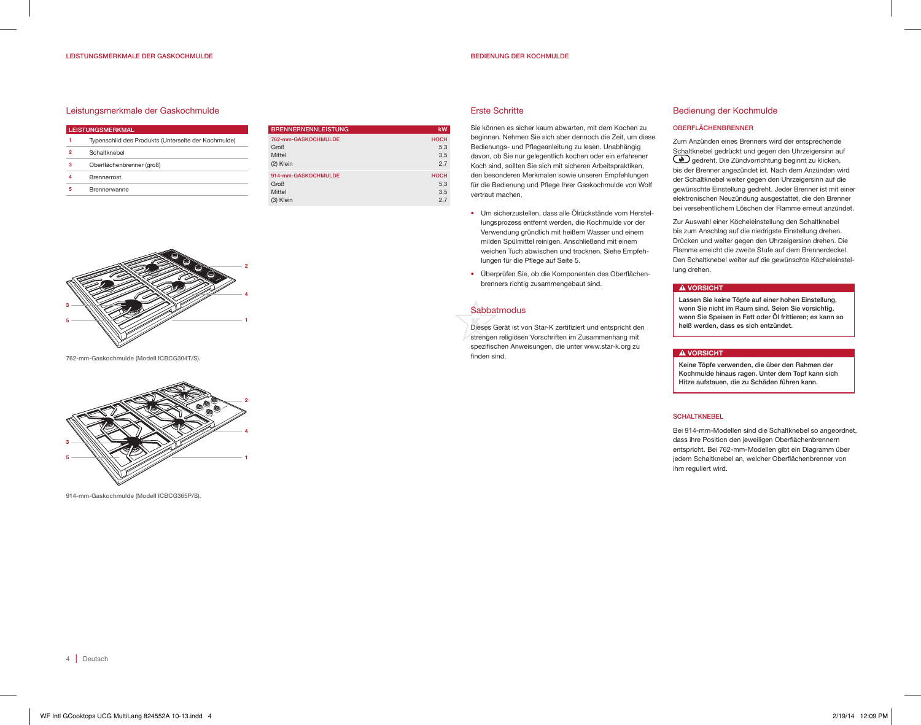#### BEDIENUNG DER KOCHMULDE

#### Leistungsmerkmale der Gaskochmulde

| <b>LEISTUNGSMERKMAL</b> |                                                     |  |
|-------------------------|-----------------------------------------------------|--|
|                         | Typenschild des Produkts (Unterseite der Kochmulde) |  |
| 2                       | Schaltknebel                                        |  |
| з                       | Oberflächenbrenner (groß)                           |  |
|                         | <b>Brennerrost</b>                                  |  |
| 5                       | Brennerwanne                                        |  |
|                         |                                                     |  |

| <b>BRENNERNENNLEISTUNG</b> | kW          |
|----------------------------|-------------|
| 762-mm-GASKOCHMULDE        | <b>HOCH</b> |
| Groß                       | 5.3         |
| Mittel                     | 3.5         |
| (2) Klein                  | 2.7         |
| 914-mm-GASKOCHMULDE        | <b>HOCH</b> |
| Groß                       | 5.3         |
| Mittel                     | 3,5         |
| (3) Klein                  | 2.7         |

#### Erste Schritte

Sie können es sicher kaum abwarten, mit dem Kochen zu beginnen. Nehmen Sie sich aber dennoch die Zeit, um diese Bedienungs- und Pflegeanleitung zu lesen. Unabhängig davon, ob Sie nur gelegentlich kochen oder ein erfahrener Koch sind, sollten Sie sich mit sicheren Arbeitspraktiken, den besonderen Merkmalen sowie unseren Empfehlungen für die Bedienung und Pflege Ihrer Gaskochmulde von Wolf vertraut machen.

- Um sicherzustellen, dass alle Ölrückstände vom Herstellungsprozess entfernt werden, die Kochmulde vor der Verwendung gründlich mit heißem Wasser und einem milden Spülmittel reinigen. Anschließend mit einem weichen Tuch abwischen und trocknen. Siehe Empfehlungen für die Pflege auf Seite 5.
- Überprüfen Sie, ob die Komponenten des Oberflächenbrenners richtig zusammengebaut sind.

## **Sabbatmodus**

Dieses Gerät ist von Star-K zertifiziert und entspricht den strengen religiösen Vorschriften im Zusammenhang mit spezifischen Anweisungen, die unter www.star-k.org zu

#### Bedienung der Kochmulde

#### OBERFLÄCHENBRENNER

Zum Anzünden eines Brenners wird der entsprechende Schaltknebel gedrückt und gegen den Uhrzeigersinn auf gedreht. Die Zündvorrichtung beginnt zu klicken, bis der Brenner angezündet ist. Nach dem Anzünden wird der Schaltknebel weiter gegen den Uhrzeigersinn auf die gewünschte Einstellung gedreht. Jeder Brenner ist mit einer elektronischen Neuzündung ausgestattet, die den Brenner bei versehentlichem Löschen der Flamme erneut anzündet.

Zur Auswahl einer Köcheleinstellung den Schaltknebel bis zum Anschlag auf die niedrigste Einstellung drehen. Drücken und weiter gegen den Uhrzeigersinn drehen. Die Flamme erreicht die zweite Stufe auf dem Brennerdeckel. Den Schaltknebel weiter auf die gewünschte Köcheleinstellung drehen.

#### **A VORSICHT**

Lassen Sie keine Töpfe auf einer hohen Einstellung, wenn Sie nicht im Raum sind. Seien Sie vorsichtig, wenn Sie Speisen in Fett oder Öl frittieren; es kann so heiß werden, dass es sich entzündet.

#### **A VORSICHT**

Keine Töpfe verwenden, die über den Rahmen der Kochmulde hinaus ragen. Unter dem Topf kann sich Hitze aufstauen, die zu Schäden führen kann.

#### **SCHALTKNEBEL**

Bei 914-mm-Modellen sind die Schaltknebel so angeordnet, dass ihre Position den jeweiligen Oberflächenbrennern entspricht. Bei 762-mm-Modellen gibt ein Diagramm über jedem Schaltknebel an, welcher Oberflächenbrenner von ihm reguliert wird.



762-mm-Gaskochmulde (Modell ICBCG304T/S).



914-mm-Gaskochmulde (Modell ICBCG365P/S).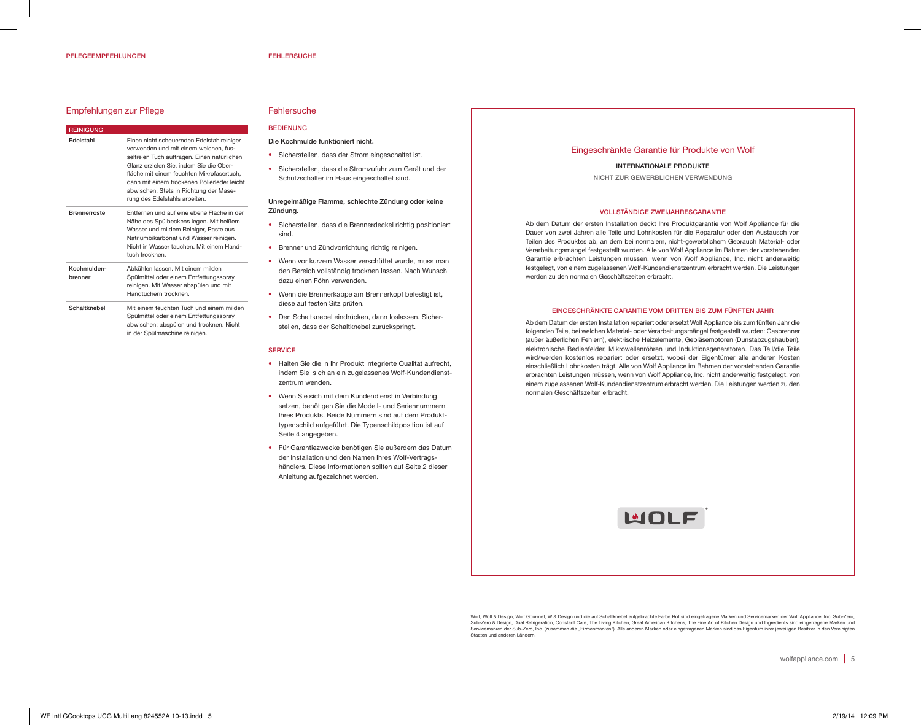#### Empfehlungen zur Pflege

| <b>REINIGUNG</b>       |                                                                                                                                                                                                                                                                                                                                                     |
|------------------------|-----------------------------------------------------------------------------------------------------------------------------------------------------------------------------------------------------------------------------------------------------------------------------------------------------------------------------------------------------|
| <b>Fdelstahl</b>       | Einen nicht scheuernden Edelstahlreiniger<br>verwenden und mit einem weichen, fus-<br>selfreien Tuch auftragen. Einen natürlichen<br>Glanz erzielen Sie, indem Sie die Ober-<br>fläche mit einem feuchten Mikrofasertuch,<br>dann mit einem trockenen Polierleder leicht<br>abwischen. Stets in Richtung der Mase-<br>rung des Edelstahls arbeiten. |
| <b>Brennerroste</b>    | Entfernen und auf eine ebene Fläche in der<br>Nähe des Spülbeckens legen. Mit heißem<br>Wasser und mildem Reiniger, Paste aus<br>Natriumbikarbonat und Wasser reinigen.<br>Nicht in Wasser tauchen. Mit einem Hand-<br>tuch trocknen.                                                                                                               |
| Kochmulden-<br>hrenner | Abkühlen lassen Mit einem milden<br>Spülmittel oder einem Entfettungsspray<br>reinigen. Mit Wasser abspülen und mit<br>Handtüchern trocknen.                                                                                                                                                                                                        |
| Schaltknebel           | Mit einem feuchten Tuch und einem milden<br>Spülmittel oder einem Entfettungsspray<br>abwischen; abspülen und trocknen. Nicht<br>in der Spülmaschine reinigen.                                                                                                                                                                                      |

## **Fehlersuche**

## **BEDIENLING**

## Die Kochmulde funktioniert nicht.

- Sicherstellen, dass der Strom eingeschaltet ist.
- Sicherstellen, dass die Stromzufuhr zum Gerät und der Schutzschalter im Haus eingeschaltet sind.

#### Unregelmäßige Flamme, schlechte Zündung oder keine Zündung.

- Sicherstellen, dass die Brennerdeckel richtig positioniert sind.
- Brenner und Zündvorrichtung richtig reinigen.
- Wenn vor kurzem Wasser verschüttet wurde, muss man den Bereich vollständig trocknen lassen. Nach Wunsch dazu einen Föhn verwenden.
- Wenn die Brennerkappe am Brennerkopf befestigt ist, diese auf festen Sitz prüfen.
- Den Schaltknebel eindrücken, dann loslassen. Sicherstellen, dass der Schaltknebel zurückspringt.

#### **SERVICE**

- Halten Sie die in Ihr Produkt integrierte Qualität aufrecht, indem Sie sich an ein zugelassenes Wolf-Kundendienstzentrum wenden.
- Wenn Sie sich mit dem Kundendienst in Verbindung setzen, benötigen Sie die Modell- und Seriennummern Ihres Produkts. Beide Nummern sind auf dem Produkttypenschild aufgeführt. Die Typenschildposition ist auf Seite 4 angegeben.
- Für Garantiezwecke benötigen Sie außerdem das Datum der Installation und den Namen Ihres Wolf-Vertragshändlers. Diese Informationen sollten auf Seite 2 dieser Anleitung aufgezeichnet werden.

#### Eingeschränkte Garantie für Produkte von Wolf

INTERNATIONALE PRODUKTE NICHT ZUR GEWERBLICHEN VERWENDUNG

#### VOLLSTÄNDIGE ZWEIJAHRESGARANTIE

Ab dem Datum der ersten Installation deckt Ihre Produktgarantie von Wolf Appliance für die Dauer von zwei Jahren alle Teile und Lohnkosten für die Reparatur oder den Austausch von Teilen des Produktes ab, an dem bei normalem, nicht-gewerblichem Gebrauch Material- oder Verarbeitungsmängel festgestellt wurden. Alle von Wolf Appliance im Rahmen der vorstehenden Garantie erbrachten Leistungen müssen, wenn von Wolf Appliance, Inc. nicht anderweitig festgelegt, von einem zugelassenen Wolf-Kundendienstzentrum erbracht werden. Die Leistungen werden zu den normalen Geschäftszeiten erbracht.

#### EINGESCHRÄNKTE GARANTIE VOM DRITTEN BIS ZUM FÜNFTEN JAHR

Ab dem Datum der ersten Installation repariert oder ersetzt Wolf Appliance bis zum fünften Jahr die folgenden Teile, bei welchen Material- oder Verarbeitungsmängel festgestellt wurden: Gasbrenner (außer äußerlichen Fehlern), elektrische Heizelemente, Gebläsemotoren (Dunstabzugshauben), elektronische Bedienfelder, Mikrowellenröhren und Induktionsgeneratoren. Das Teil/die Teile wird/werden kostenlos repariert oder ersetzt, wobei der Eigentümer alle anderen Kosten einschließlich Lohnkosten trägt. Alle von Wolf Appliance im Rahmen der vorstehenden Garantie erbrachten Leistungen müssen, wenn von Wolf Appliance, Inc. nicht anderweitig festgelegt, von einem zugelassenen Wolf-Kundendienstzentrum erbracht werden. Die Leistungen werden zu den normalen Geschäftszeiten erbracht.



Wolf, Wolf & Design, Wolf Gourmet, W & Design und die auf Schaltknebel aufgebrachte Farbe Rot sind eingetragene Marken und Servicemarken der Wolf Appliance, Inc. Sub-Zero, Sub-Zero & Design, Dual Refrigeration, Constant Care, The Living Kitchen, Great American Kitchens, The Fine Art of Kitchen Design und Ingredients sind eingetragene Marken und<br>Servicemarken der Sub-Zero, Inc. (zusammen die Staaten und anderen Ländern.